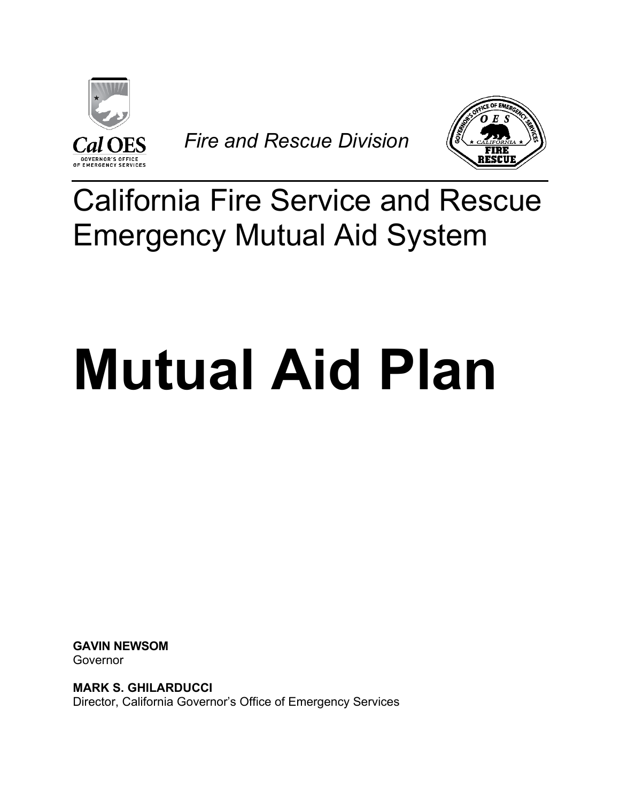

*Fire and Rescue Division*



## California Fire Service and Rescue Emergency Mutual Aid System

# **Mutual Aid Plan**

**GAVIN NEWSOM** Governor

**MARK S. GHILARDUCCI** Director, California Governor's Office of Emergency Services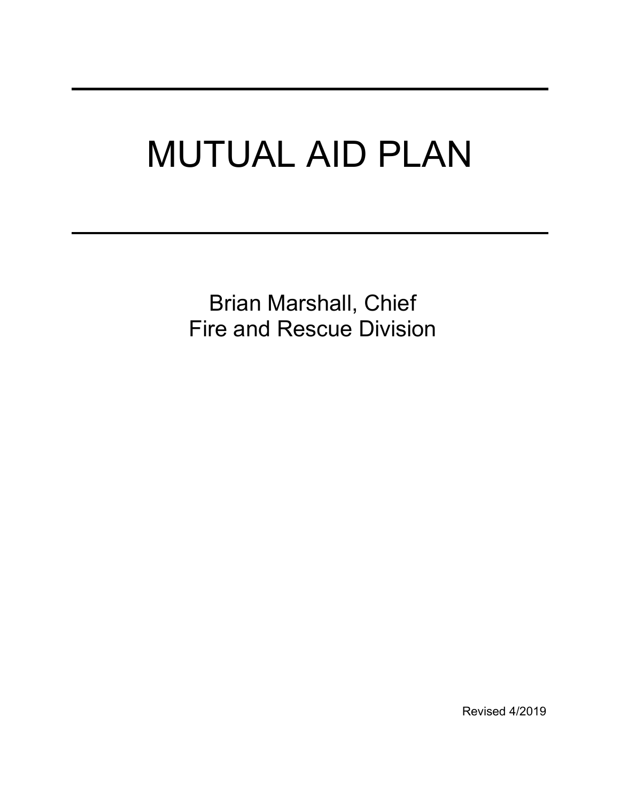# MUTUAL AID PLAN

Brian Marshall, Chief Fire and Rescue Division

Revised 4/2019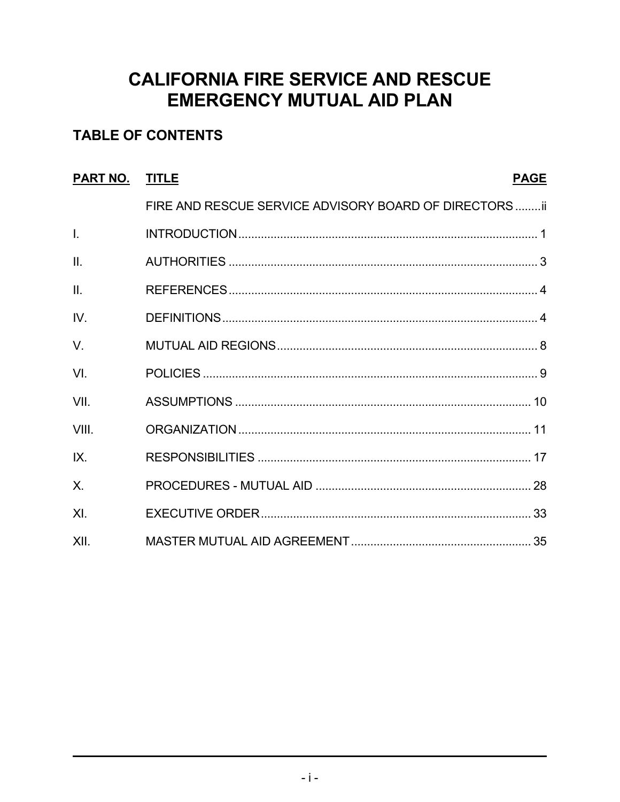### **CALIFORNIA FIRE SERVICE AND RESCUE EMERGENCY MUTUAL AID PLAN**

### **TABLE OF CONTENTS**

| PART NO.        | <b>TITLE</b>                                           | <b>PAGE</b> |
|-----------------|--------------------------------------------------------|-------------|
|                 | FIRE AND RESCUE SERVICE ADVISORY BOARD OF DIRECTORS ii |             |
| $\mathbf{L}$    |                                                        |             |
| $\mathbf{II}$ . |                                                        |             |
| $\mathbf{II}$ . |                                                        |             |
| IV.             |                                                        |             |
| $V_{\cdot}$     |                                                        |             |
| VI.             |                                                        |             |
| VII.            |                                                        |             |
| VIII.           |                                                        |             |
| IX.             |                                                        |             |
| X               |                                                        |             |
| X <sub>l</sub>  |                                                        |             |
| XII.            |                                                        |             |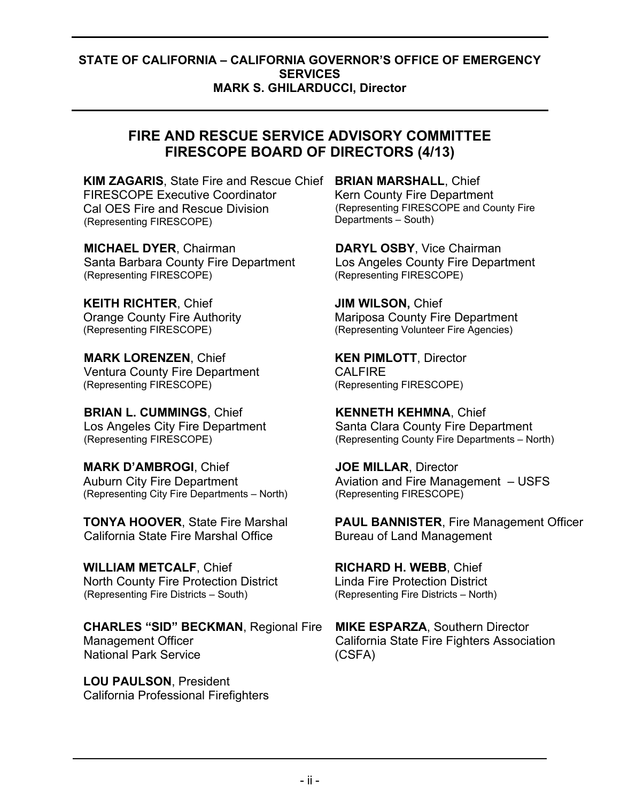### **STATE OF CALIFORNIA – CALIFORNIA GOVERNOR'S OFFICE OF EMERGENCY SERVICES MARK S. GHILARDUCCI, Director**

### **FIRE AND RESCUE SERVICE ADVISORY COMMITTEE FIRESCOPE BOARD OF DIRECTORS (4/13)**

**KIM ZAGARIS**, State Fire and Rescue Chief **BRIAN MARSHALL**, Chief FIRESCOPE Executive Coordinator Cal OES Fire and Rescue Division (Representing FIRESCOPE)

**MICHAEL DYER**, Chairman Santa Barbara County Fire Department (Representing FIRESCOPE)

**KEITH RICHTER**, Chief Orange County Fire Authority (Representing FIRESCOPE)

**MARK LORENZEN**, Chief Ventura County Fire Department (Representing FIRESCOPE)

**BRIAN L. CUMMINGS**, Chief Los Angeles City Fire Department (Representing FIRESCOPE)

**MARK D'AMBROGI**, Chief Auburn City Fire Department (Representing City Fire Departments – North)

**TONYA HOOVER**, State Fire Marshal California State Fire Marshal Office

**WILLIAM METCALF**, Chief North County Fire Protection District (Representing Fire Districts – South)

**CHARLES "SID" BECKMAN**, Regional Fire Management Officer National Park Service

**LOU PAULSON**, President California Professional Firefighters Kern County Fire Department (Representing FIRESCOPE and County Fire Departments – South)

**DARYL OSBY**, Vice Chairman Los Angeles County Fire Department (Representing FIRESCOPE)

**JIM WILSON,** Chief Mariposa County Fire Department (Representing Volunteer Fire Agencies)

**KEN PIMLOTT**, Director CAL FIRE (Representing FIRESCOPE)

**KENNETH KEHMNA**, Chief Santa Clara County Fire Department (Representing County Fire Departments – North)

**JOE MILLAR**, Director Aviation and Fire Management – USFS (Representing FIRESCOPE)

**PAUL BANNISTER**, Fire Management Officer Bureau of Land Management

**RICHARD H. WEBB**, Chief Linda Fire Protection District (Representing Fire Districts – North)

**MIKE ESPARZA**, Southern Director California State Fire Fighters Association (CSFA)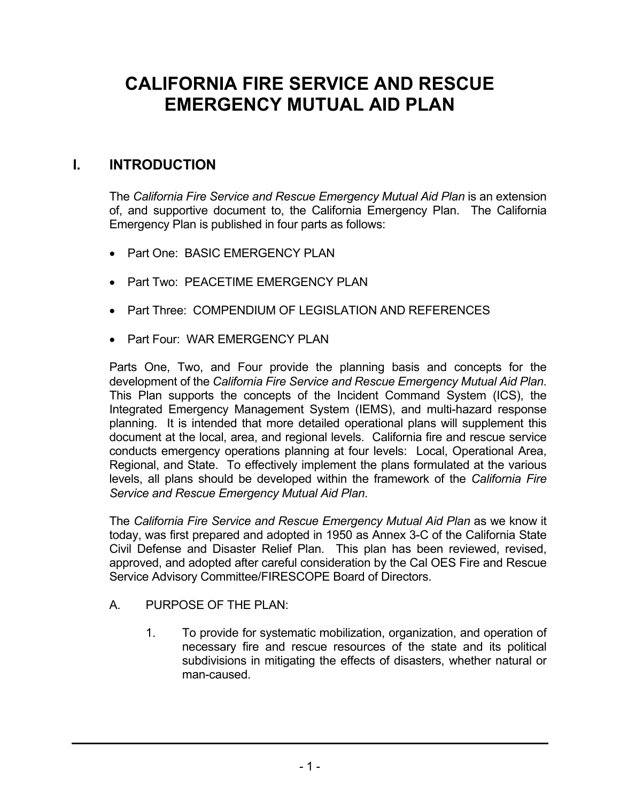### **CALIFORNIA FIRE SERVICE AND RESCUE EMERGENCY MUTUAL AID PLAN**

### **I. INTRODUCTION**

The *California Fire Service and Rescue Emergency Mutual Aid Plan* is an extension of, and supportive document to, the California Emergency Plan. The California Emergency Plan is published in four parts as follows:

- Part One: BASIC EMERGENCY PLAN
- Part Two: PEACETIME EMERGENCY PLAN
- Part Three: COMPENDIUM OF LEGISLATION AND REFERENCES
- Part Four: WAR EMERGENCY PLAN

Parts One, Two, and Four provide the planning basis and concepts for the development of the *California Fire Service and Rescue Emergency Mutual Aid Plan*. This Plan supports the concepts of the Incident Command System (ICS), the Integrated Emergency Management System (IEMS), and multi-hazard response planning. It is intended that more detailed operational plans will supplement this document at the local, area, and regional levels. California fire and rescue service conducts emergency operations planning at four levels: Local, Operational Area, Regional, and State. To effectively implement the plans formulated at the various levels, all plans should be developed within the framework of the *California Fire Service and Rescue Emergency Mutual Aid Plan*.

The *California Fire Service and Rescue Emergency Mutual Aid Plan* as we know it today, was first prepared and adopted in 1950 as Annex 3-C of the California State Civil Defense and Disaster Relief Plan. This plan has been reviewed, revised, approved, and adopted after careful consideration by the Cal OES Fire and Rescue Service Advisory Committee/FIRESCOPE Board of Directors.

- A. PURPOSE OF THE PLAN:
	- 1. To provide for systematic mobilization, organization, and operation of necessary fire and rescue resources of the state and its political subdivisions in mitigating the effects of disasters, whether natural or man-caused.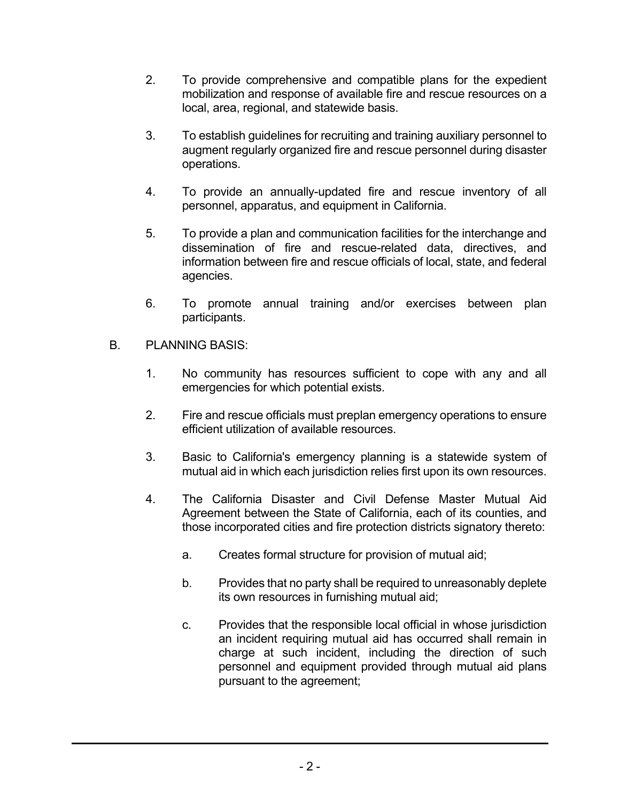- 2. To provide comprehensive and compatible plans for the expedient mobilization and response of available fire and rescue resources on a local, area, regional, and statewide basis.
- 3. To establish guidelines for recruiting and training auxiliary personnel to augment regularly organized fire and rescue personnel during disaster operations.
- 4. To provide an annually-updated fire and rescue inventory of all personnel, apparatus, and equipment in California.
- 5. To provide a plan and communication facilities for the interchange and dissemination of fire and rescue-related data, directives, and information between fire and rescue officials of local, state, and federal agencies.
- 6. To promote annual training and/or exercises between plan participants.
- B. PLANNING BASIS:
	- 1. No community has resources sufficient to cope with any and all emergencies for which potential exists.
	- 2. Fire and rescue officials must preplan emergency operations to ensure efficient utilization of available resources.
	- 3. Basic to California's emergency planning is a statewide system of mutual aid in which each jurisdiction relies first upon its own resources.
	- 4. The California Disaster and Civil Defense Master Mutual Aid Agreement between the State of California, each of its counties, and those incorporated cities and fire protection districts signatory thereto:
		- a. Creates formal structure for provision of mutual aid;
		- b. Provides that no party shall be required to unreasonably deplete its own resources in furnishing mutual aid;
		- c. Provides that the responsible local official in whose jurisdiction an incident requiring mutual aid has occurred shall remain in charge at such incident, including the direction of such personnel and equipment provided through mutual aid plans pursuant to the agreement;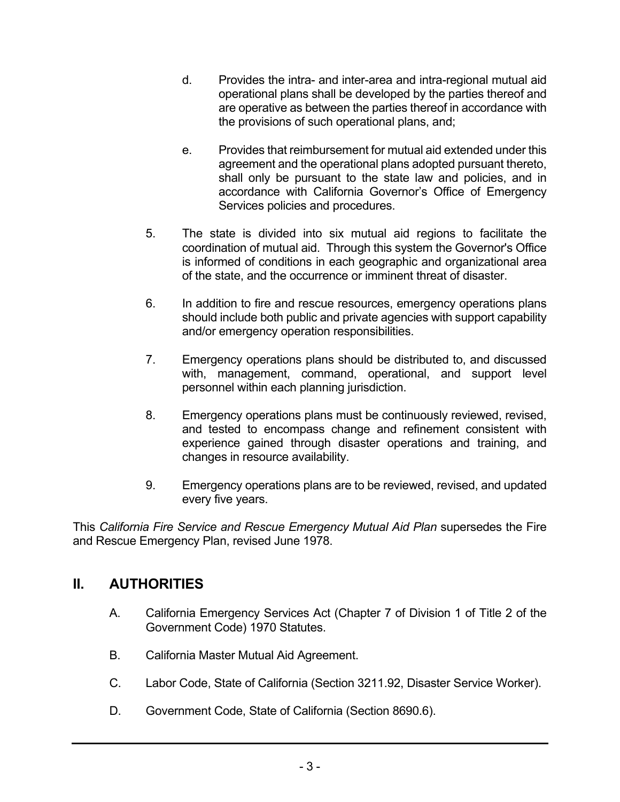- d. Provides the intra- and inter-area and intra-regional mutual aid operational plans shall be developed by the parties thereof and are operative as between the parties thereof in accordance with the provisions of such operational plans, and;
- e. Provides that reimbursement for mutual aid extended under this agreement and the operational plans adopted pursuant thereto, shall only be pursuant to the state law and policies, and in accordance with California Governor's Office of Emergency Services policies and procedures.
- 5. The state is divided into six mutual aid regions to facilitate the coordination of mutual aid. Through this system the Governor's Office is informed of conditions in each geographic and organizational area of the state, and the occurrence or imminent threat of disaster.
- 6. In addition to fire and rescue resources, emergency operations plans should include both public and private agencies with support capability and/or emergency operation responsibilities.
- 7. Emergency operations plans should be distributed to, and discussed with, management, command, operational, and support level personnel within each planning jurisdiction.
- 8. Emergency operations plans must be continuously reviewed, revised, and tested to encompass change and refinement consistent with experience gained through disaster operations and training, and changes in resource availability.
- 9. Emergency operations plans are to be reviewed, revised, and updated every five years.

This *California Fire Service and Rescue Emergency Mutual Aid Plan* supersedes the Fire and Rescue Emergency Plan, revised June 1978.

### **II. AUTHORITIES**

- A. California Emergency Services Act (Chapter 7 of Division 1 of Title 2 of the Government Code) 1970 Statutes.
- B. California Master Mutual Aid Agreement.
- C. Labor Code, State of California (Section 3211.92, Disaster Service Worker).
- D. Government Code, State of California (Section 8690.6).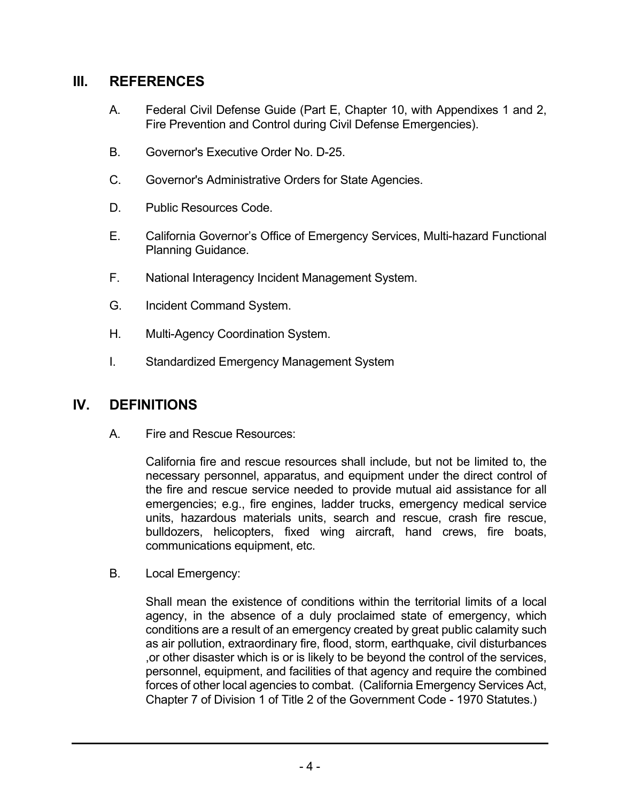### **III. REFERENCES**

- A. Federal Civil Defense Guide (Part E, Chapter 10, with Appendixes 1 and 2, Fire Prevention and Control during Civil Defense Emergencies).
- B. Governor's Executive Order No. D-25.
- C. Governor's Administrative Orders for State Agencies.
- D. Public Resources Code.
- E. California Governor's Office of Emergency Services, Multi-hazard Functional Planning Guidance.
- F. National Interagency Incident Management System.
- G. Incident Command System.
- H. Multi-Agency Coordination System.
- I. Standardized Emergency Management System

### **IV. DEFINITIONS**

A. Fire and Rescue Resources:

California fire and rescue resources shall include, but not be limited to, the necessary personnel, apparatus, and equipment under the direct control of the fire and rescue service needed to provide mutual aid assistance for all emergencies; e.g., fire engines, ladder trucks, emergency medical service units, hazardous materials units, search and rescue, crash fire rescue, bulldozers, helicopters, fixed wing aircraft, hand crews, fire boats, communications equipment, etc.

B. Local Emergency:

Shall mean the existence of conditions within the territorial limits of a local agency, in the absence of a duly proclaimed state of emergency, which conditions are a result of an emergency created by great public calamity such as air pollution, extraordinary fire, flood, storm, earthquake, civil disturbances ,or other disaster which is or is likely to be beyond the control of the services, personnel, equipment, and facilities of that agency and require the combined forces of other local agencies to combat. (California Emergency Services Act, Chapter 7 of Division 1 of Title 2 of the Government Code - 1970 Statutes.)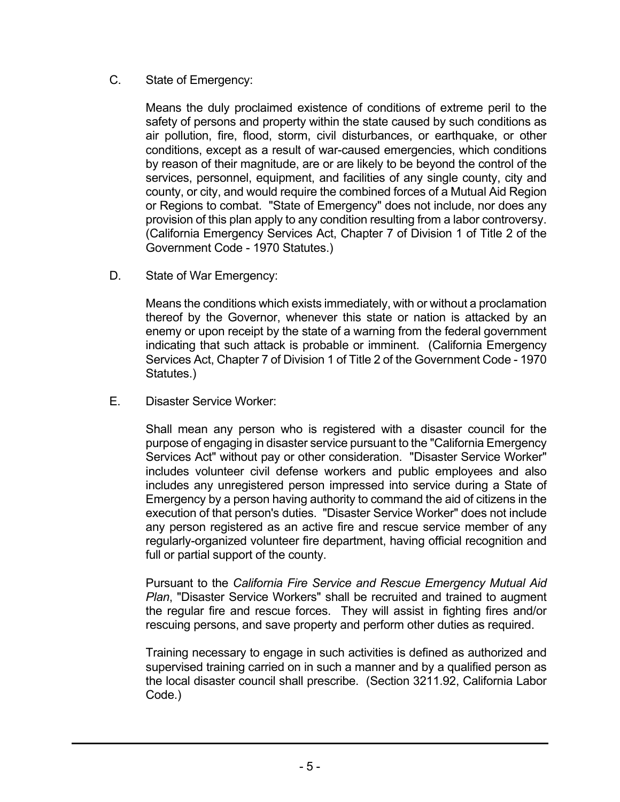#### C. State of Emergency:

Means the duly proclaimed existence of conditions of extreme peril to the safety of persons and property within the state caused by such conditions as air pollution, fire, flood, storm, civil disturbances, or earthquake, or other conditions, except as a result of war-caused emergencies, which conditions by reason of their magnitude, are or are likely to be beyond the control of the services, personnel, equipment, and facilities of any single county, city and county, or city, and would require the combined forces of a Mutual Aid Region or Regions to combat. "State of Emergency" does not include, nor does any provision of this plan apply to any condition resulting from a labor controversy. (California Emergency Services Act, Chapter 7 of Division 1 of Title 2 of the Government Code - 1970 Statutes.)

D. State of War Emergency:

> Means the conditions which exists immediately, with or without a proclamation thereof by the Governor, whenever this state or nation is attacked by an enemy or upon receipt by the state of a warning from the federal government indicating that such attack is probable or imminent. (California Emergency Services Act, Chapter 7 of Division 1 of Title 2 of the Government Code - 1970 Statutes.)

E. Disaster Service Worker:

> Shall mean any person who is registered with a disaster council for the purpose of engaging in disaster service pursuant to the "California Emergency Services Act" without pay or other consideration. "Disaster Service Worker" includes volunteer civil defense workers and public employees and also includes any unregistered person impressed into service during a State of Emergency by a person having authority to command the aid of citizens in the execution of that person's duties. "Disaster Service Worker" does not include any person registered as an active fire and rescue service member of any regularly-organized volunteer fire department, having official recognition and full or partial support of the county.

> Pursuant to the *California Fire Service and Rescue Emergency Mutual Aid Plan*, "Disaster Service Workers" shall be recruited and trained to augment the regular fire and rescue forces. They will assist in fighting fires and/or rescuing persons, and save property and perform other duties as required.

> Training necessary to engage in such activities is defined as authorized and supervised training carried on in such a manner and by a qualified person as the local disaster council shall prescribe. (Section 3211.92, California Labor Code.)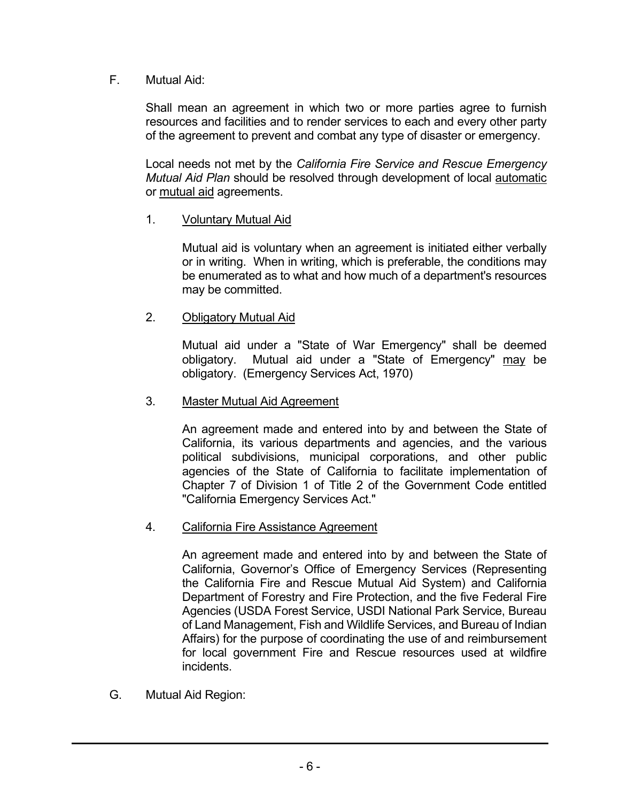#### Mutual Aid: F.

Shall mean an agreement in which two or more parties agree to furnish resources and facilities and to render services to each and every other party of the agreement to prevent and combat any type of disaster or emergency.

Local needs not met by the *California Fire Service and Rescue Emergency Mutual Aid Plan* should be resolved through development of local automatic or mutual aid agreements.

### 1. Voluntary Mutual Aid

Mutual aid is voluntary when an agreement is initiated either verbally or in writing. When in writing, which is preferable, the conditions may be enumerated as to what and how much of a department's resources may be committed.

### 2. Obligatory Mutual Aid

Mutual aid under a "State of War Emergency" shall be deemed obligatory. Mutual aid under a "State of Emergency" may be obligatory. (Emergency Services Act, 1970)

### 3. Master Mutual Aid Agreement

An agreement made and entered into by and between the State of California, its various departments and agencies, and the various political subdivisions, municipal corporations, and other public agencies of the State of California to facilitate implementation of Chapter 7 of Division 1 of Title 2 of the Government Code entitled "California Emergency Services Act."

### 4. California Fire Assistance Agreement

An agreement made and entered into by and between the State of California, Governor's Office of Emergency Services (Representing the California Fire and Rescue Mutual Aid System) and California Department of Forestry and Fire Protection, and the five Federal Fire Agencies (USDA Forest Service, USDI National Park Service, Bureau of Land Management, Fish and Wildlife Services, and Bureau of Indian Affairs) for the purpose of coordinating the use of and reimbursement for local government Fire and Rescue resources used at wildfire incidents.

Mutual Aid Region: G.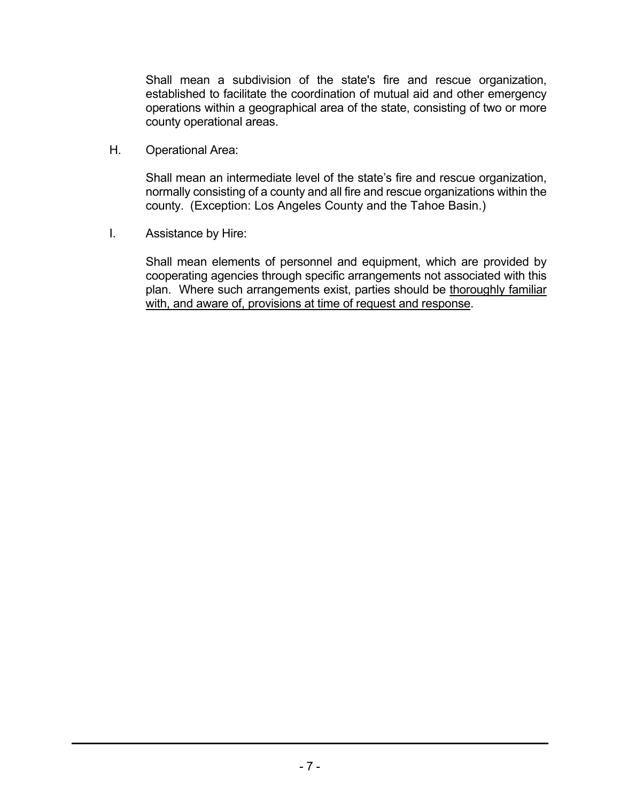Shall mean a subdivision of the state's fire and rescue organization, established to facilitate the coordination of mutual aid and other emergency operations within a geographical area of the state, consisting of two or more county operational areas.

H. Operational Area:

> Shall mean an intermediate level of the state's fire and rescue organization, normally consisting of a county and all fire and rescue organizations within the county. (Exception: Los Angeles County and the Tahoe Basin.)

I. Assistance by Hire:

> Shall mean elements of personnel and equipment, which are provided by cooperating agencies through specific arrangements not associated with this plan. Where such arrangements exist, parties should be thoroughly familiar with, and aware of, provisions at time of request and response.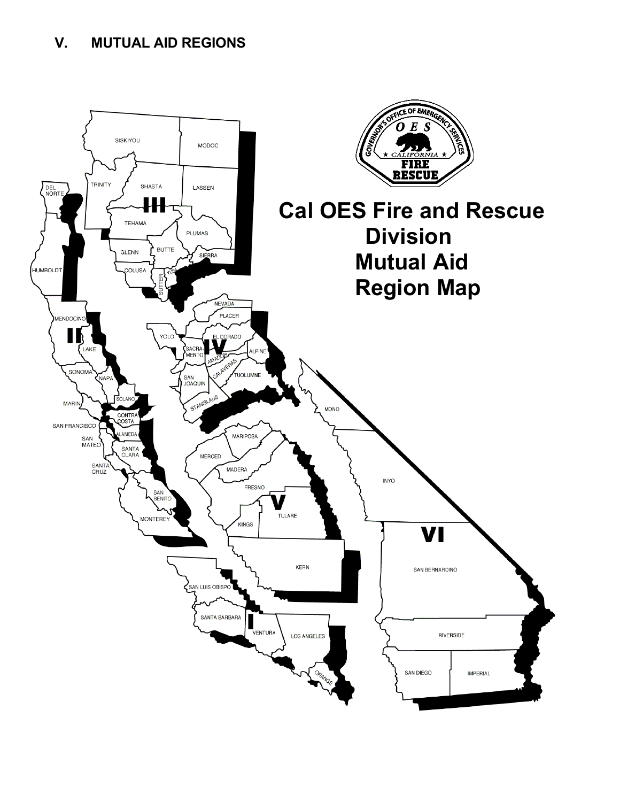### **V. MUTUAL AID REGIONS**

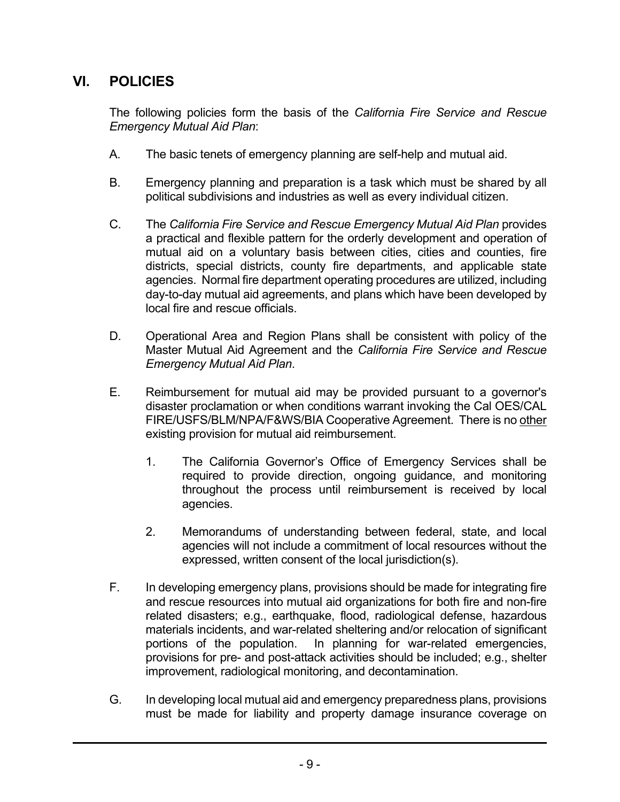### **VI. POLICIES**

The following policies form the basis of the *California Fire Service and Rescue Emergency Mutual Aid Plan*:

- A. The basic tenets of emergency planning are self-help and mutual aid.
- B. Emergency planning and preparation is a task which must be shared by all political subdivisions and industries as well as every individual citizen.
- C. The *California Fire Service and Rescue Emergency Mutual Aid Plan* provides a practical and flexible pattern for the orderly development and operation of mutual aid on a voluntary basis between cities, cities and counties, fire districts, special districts, county fire departments, and applicable state agencies. Normal fire department operating procedures are utilized, including day-to-day mutual aid agreements, and plans which have been developed by local fire and rescue officials.
- D. Operational Area and Region Plans shall be consistent with policy of the Master Mutual Aid Agreement and the *California Fire Service and Rescue Emergency Mutual Aid Plan*.
- E. Reimbursement for mutual aid may be provided pursuant to a governor's disaster proclamation or when conditions warrant invoking the Cal OES/CAL FIRE/USFS/BLM/NPA/F&WS/BIA Cooperative Agreement. There is no other existing provision for mutual aid reimbursement.
	- 1. The California Governor's Office of Emergency Services shall be required to provide direction, ongoing guidance, and monitoring throughout the process until reimbursement is received by local agencies.
	- 2. Memorandums of understanding between federal, state, and local agencies will not include a commitment of local resources without the expressed, written consent of the local jurisdiction(s).
- F. In developing emergency plans, provisions should be made for integrating fire and rescue resources into mutual aid organizations for both fire and non-fire related disasters; e.g., earthquake, flood, radiological defense, hazardous materials incidents, and war-related sheltering and/or relocation of significant portions of the population. In planning for war-related emergencies, provisions for pre- and post-attack activities should be included; e.g., shelter improvement, radiological monitoring, and decontamination.
- G. In developing local mutual aid and emergency preparedness plans, provisions must be made for liability and property damage insurance coverage on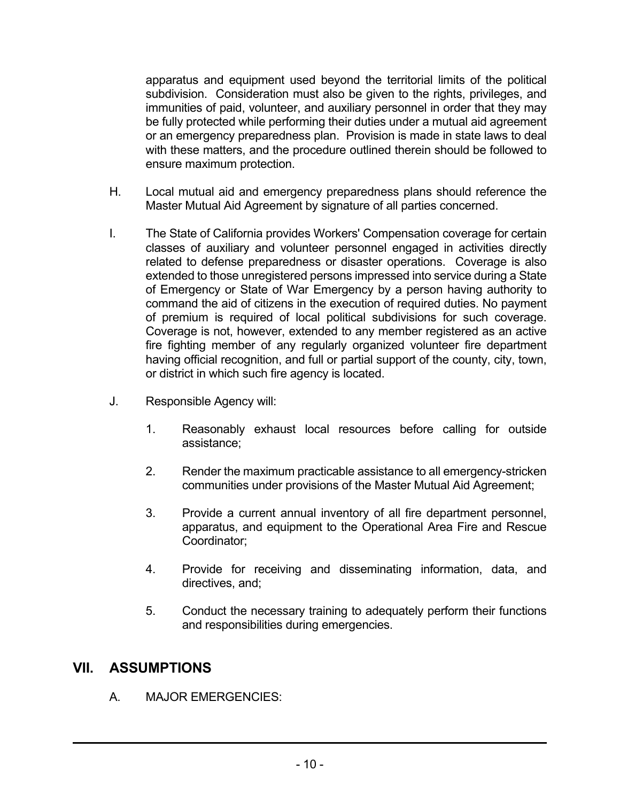apparatus and equipment used beyond the territorial limits of the political subdivision. Consideration must also be given to the rights, privileges, and immunities of paid, volunteer, and auxiliary personnel in order that they may be fully protected while performing their duties under a mutual aid agreement or an emergency preparedness plan. Provision is made in state laws to deal with these matters, and the procedure outlined therein should be followed to ensure maximum protection.

- H. Local mutual aid and emergency preparedness plans should reference the Master Mutual Aid Agreement by signature of all parties concerned.
- I. The State of California provides Workers' Compensation coverage for certain classes of auxiliary and volunteer personnel engaged in activities directly related to defense preparedness or disaster operations. Coverage is also extended to those unregistered persons impressed into service during a State of Emergency or State of War Emergency by a person having authority to command the aid of citizens in the execution of required duties. No payment of premium is required of local political subdivisions for such coverage. Coverage is not, however, extended to any member registered as an active fire fighting member of any regularly organized volunteer fire department having official recognition, and full or partial support of the county, city, town, or district in which such fire agency is located.
- J. Responsible Agency will:
	- 1. Reasonably exhaust local resources before calling for outside assistance;
	- 2. Render the maximum practicable assistance to all emergency-stricken communities under provisions of the Master Mutual Aid Agreement;
	- 3. Provide a current annual inventory of all fire department personnel, apparatus, and equipment to the Operational Area Fire and Rescue Coordinator;
	- 4. Provide for receiving and disseminating information, data, and directives, and;
	- 5. Conduct the necessary training to adequately perform their functions and responsibilities during emergencies.

#### **ASSUMPTIONS VII.**

A. MAJOR EMERGENCIES: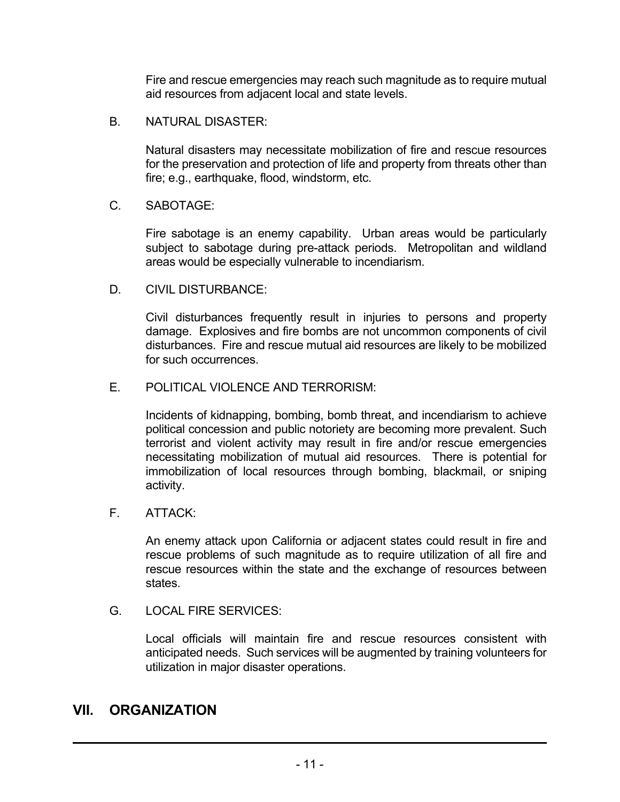Fire and rescue emergencies may reach such magnitude as to require mutual aid resources from adjacent local and state levels.

B. NATURAL DISASTER:

Natural disasters may necessitate mobilization of fire and rescue resources for the preservation and protection of life and property from threats other than fire; e.g., earthquake, flood, windstorm, etc.

C. SABOTAGE:

Fire sabotage is an enemy capability. Urban areas would be particularly subject to sabotage during pre-attack periods. Metropolitan and wildland areas would be especially vulnerable to incendiarism.

D. CIVIL DISTURBANCE:

Civil disturbances frequently result in injuries to persons and property damage. Explosives and fire bombs are not uncommon components of civil disturbances. Fire and rescue mutual aid resources are likely to be mobilized for such occurrences.

E. POLITICAL VIOLENCE AND TERRORISM:

Incidents of kidnapping, bombing, bomb threat, and incendiarism to achieve political concession and public notoriety are becoming more prevalent. Such terrorist and violent activity may result in fire and/or rescue emergencies necessitating mobilization of mutual aid resources. There is potential for immobilization of local resources through bombing, blackmail, or sniping activity.

F. ATTACK:

An enemy attack upon California or adjacent states could result in fire and rescue problems of such magnitude as to require utilization of all fire and rescue resources within the state and the exchange of resources between states.

G. LOCAL FIRE SERVICES:

Local officials will maintain fire and rescue resources consistent with anticipated needs. Such services will be augmented by training volunteers for utilization in major disaster operations.

### **VII. ORGANIZATION**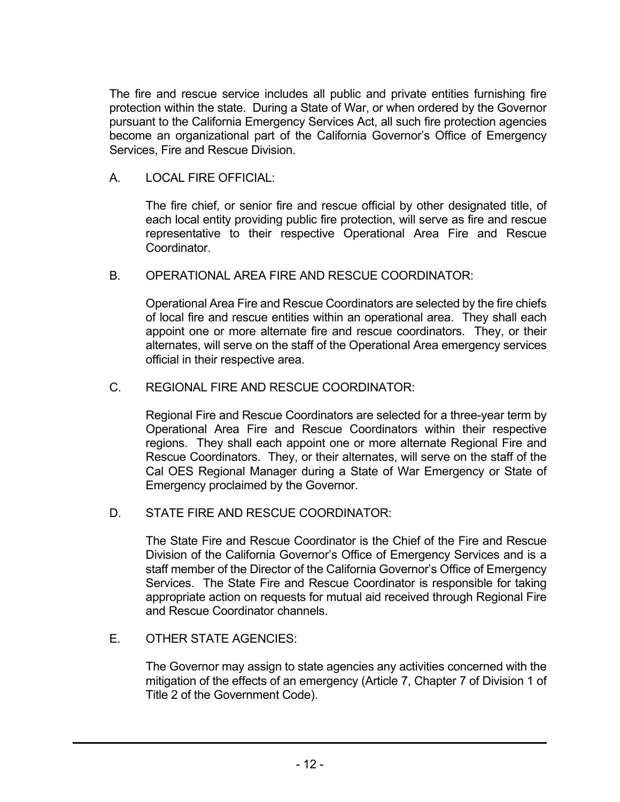The fire and rescue service includes all public and private entities furnishing fire protection within the state. During a State of War, or when ordered by the Governor pursuant to the California Emergency Services Act, all such fire protection agencies become an organizational part of the California Governor's Office of Emergency Services, Fire and Rescue Division.

A. LOCAL FIRE OFFICIAL:

The fire chief, or senior fire and rescue official by other designated title, of each local entity providing public fire protection, will serve as fire and rescue representative to their respective Operational Area Fire and Rescue Coordinator.

B. OPERATIONAL AREA FIRE AND RESCUE COORDINATOR:

Operational Area Fire and Rescue Coordinators are selected by the fire chiefs of local fire and rescue entities within an operational area. They shall each appoint one or more alternate fire and rescue coordinators. They, or their alternates, will serve on the staff of the Operational Area emergency services official in their respective area.

C. REGIONAL FIRE AND RESCUE COORDINATOR:

Regional Fire and Rescue Coordinators are selected for a three-year term by Operational Area Fire and Rescue Coordinators within their respective regions. They shall each appoint one or more alternate Regional Fire and Rescue Coordinators. They, or their alternates, will serve on the staff of the Cal OES Regional Manager during a State of War Emergency or State of Emergency proclaimed by the Governor.

D. STATE FIRE AND RESCUE COORDINATOR:

The State Fire and Rescue Coordinator is the Chief of the Fire and Rescue Division of the California Governor's Office of Emergency Services and is a staff member of the Director of the California Governor's Office of Emergency Services. The State Fire and Rescue Coordinator is responsible for taking appropriate action on requests for mutual aid received through Regional Fire and Rescue Coordinator channels.

E. OTHER STATE AGENCIES:

The Governor may assign to state agencies any activities concerned with the mitigation of the effects of an emergency (Article 7, Chapter 7 of Division 1 of Title 2 of the Government Code).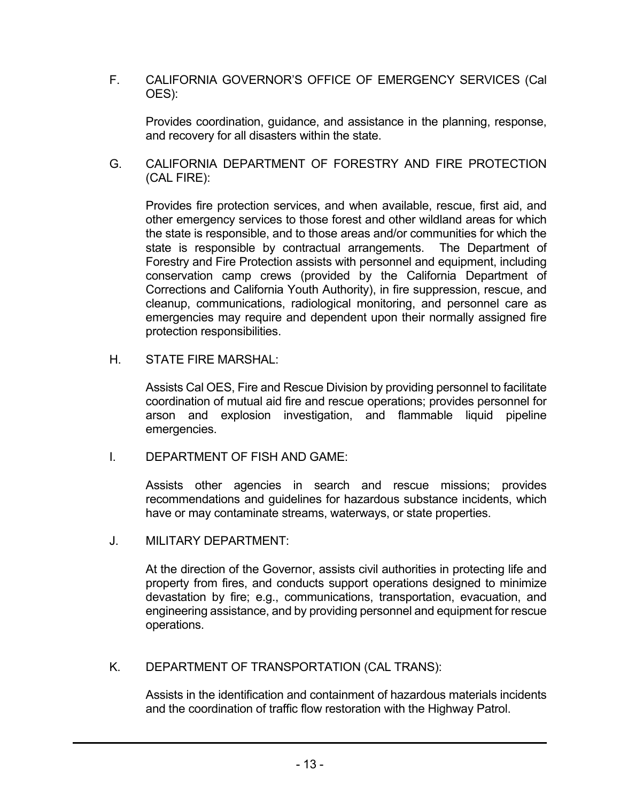F. CALIFORNIA GOVERNOR'S OFFICE OF EMERGENCY SERVICES (Cal OES):

Provides coordination, guidance, and assistance in the planning, response, and recovery for all disasters within the state.

G. CALIFORNIA DEPARTMENT OF FORESTRY AND FIRE PROTECTION (CAL FIRE):

Provides fire protection services, and when available, rescue, first aid, and other emergency services to those forest and other wildland areas for which the state is responsible, and to those areas and/or communities for which the state is responsible by contractual arrangements. The Department of Forestry and Fire Protection assists with personnel and equipment, including conservation camp crews (provided by the California Department of Corrections and California Youth Authority), in fire suppression, rescue, and cleanup, communications, radiological monitoring, and personnel care as emergencies may require and dependent upon their normally assigned fire protection responsibilities.

H. STATE FIRE MARSHAL:

> Assists Cal OES, Fire and Rescue Division by providing personnel to facilitate coordination of mutual aid fire and rescue operations; provides personnel for arson and explosion investigation, and flammable liquid pipeline emergencies.

I. DEPARTMENT OF FISH AND GAME:

> Assists other agencies in search and rescue missions; provides recommendations and guidelines for hazardous substance incidents, which have or may contaminate streams, waterways, or state properties.

J. MILITARY DEPARTMENT:

> At the direction of the Governor, assists civil authorities in protecting life and property from fires, and conducts support operations designed to minimize devastation by fire; e.g., communications, transportation, evacuation, and engineering assistance, and by providing personnel and equipment for rescue operations.

K. DEPARTMENT OF TRANSPORTATION (CAL TRANS):

> Assists in the identification and containment of hazardous materials incidents and the coordination of traffic flow restoration with the Highway Patrol.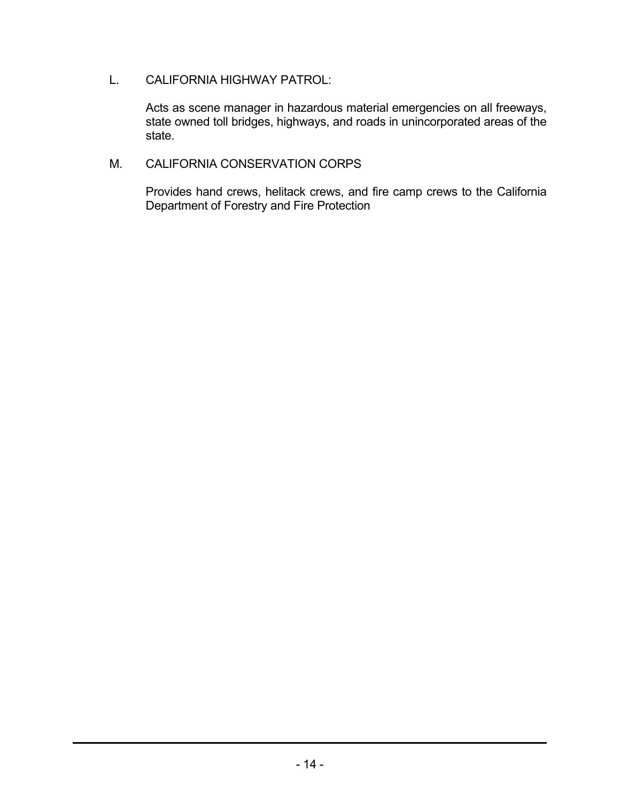L. CALIFORNIA HIGHWAY PATROL:

> Acts as scene manager in hazardous material emergencies on all freeways, state owned toll bridges, highways, and roads in unincorporated areas of the state.

#### M. CALIFORNIA CONSERVATION CORPS

Provides hand crews, helitack crews, and fire camp crews to the California Department of Forestry and Fire Protection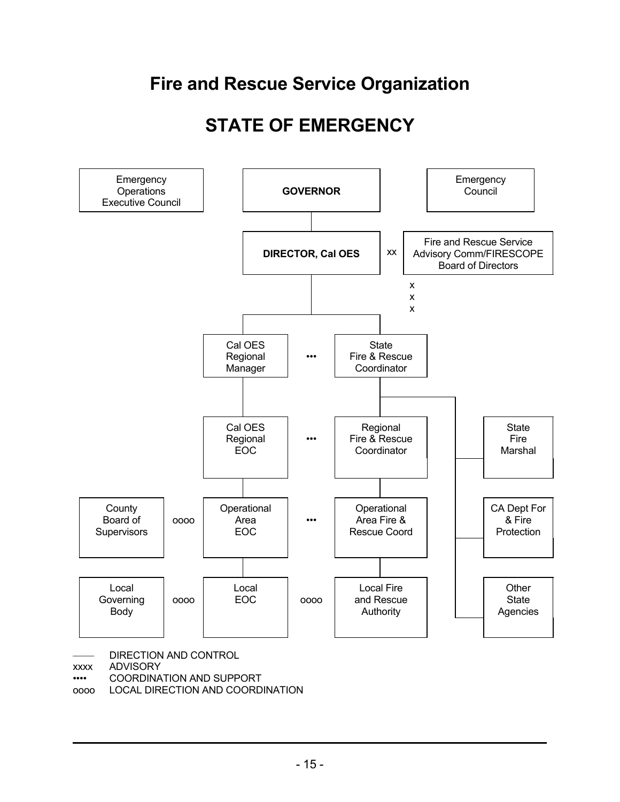### **Fire and Rescue Service Organization**

### **STATE OF EMERGENCY**



oooo LOCAL DIRECTION AND COORDINATION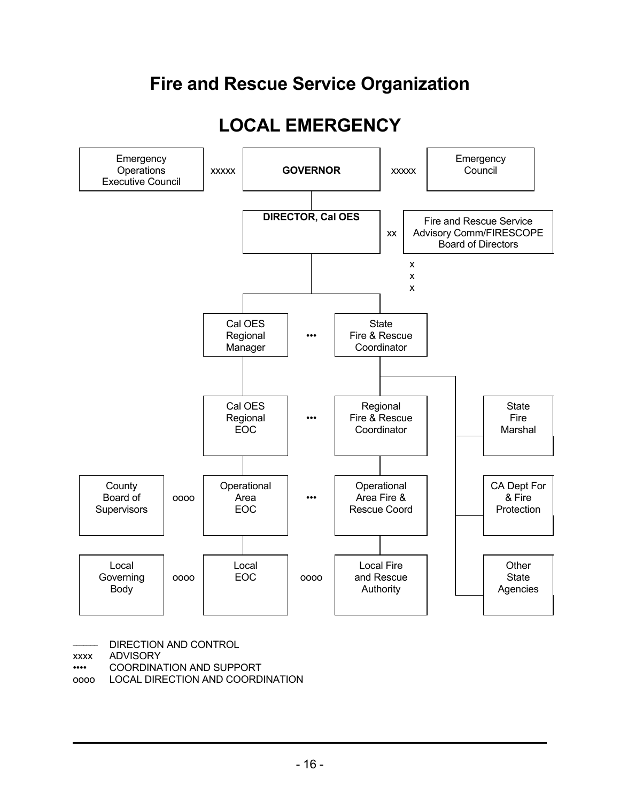### **Fire and Rescue Service Organization**

### **LOCAL EMERGENCY**



DIRECTION AND CONTROL

xxxx ADVISORY

•••• COORDINATION AND SUPPORT

oooo LOCAL DIRECTION AND COORDINATION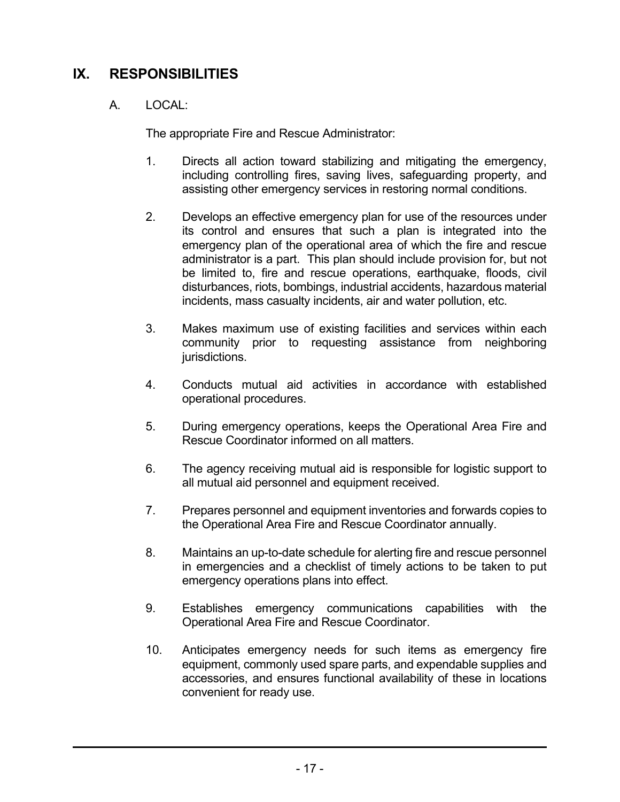### **IX. RESPONSIBILITIES**

### A. LOCAL:

The appropriate Fire and Rescue Administrator:

- 1. Directs all action toward stabilizing and mitigating the emergency, including controlling fires, saving lives, safeguarding property, and assisting other emergency services in restoring normal conditions.
- 2. Develops an effective emergency plan for use of the resources under its control and ensures that such a plan is integrated into the emergency plan of the operational area of which the fire and rescue administrator is a part. This plan should include provision for, but not be limited to, fire and rescue operations, earthquake, floods, civil disturbances, riots, bombings, industrial accidents, hazardous material incidents, mass casualty incidents, air and water pollution, etc.
- 3. Makes maximum use of existing facilities and services within each community prior to requesting assistance from neighboring jurisdictions.
- 4. Conducts mutual aid activities in accordance with established operational procedures.
- 5. During emergency operations, keeps the Operational Area Fire and Rescue Coordinator informed on all matters.
- 6. The agency receiving mutual aid is responsible for logistic support to all mutual aid personnel and equipment received.
- 7. Prepares personnel and equipment inventories and forwards copies to the Operational Area Fire and Rescue Coordinator annually.
- 8. Maintains an up-to-date schedule for alerting fire and rescue personnel in emergencies and a checklist of timely actions to be taken to put emergency operations plans into effect.
- 9. Establishes emergency communications capabilities with the Operational Area Fire and Rescue Coordinator.
- 10. Anticipates emergency needs for such items as emergency fire equipment, commonly used spare parts, and expendable supplies and accessories, and ensures functional availability of these in locations convenient for ready use.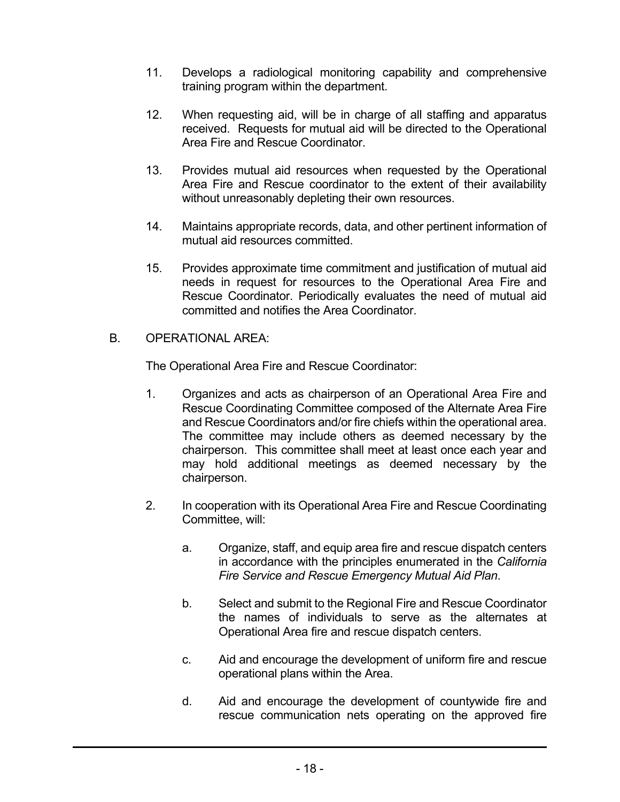- 11. Develops a radiological monitoring capability and comprehensive training program within the department.
- 12. When requesting aid, will be in charge of all staffing and apparatus received. Requests for mutual aid will be directed to the Operational Area Fire and Rescue Coordinator.
- 13. Provides mutual aid resources when requested by the Operational Area Fire and Rescue coordinator to the extent of their availability without unreasonably depleting their own resources.
- 14. Maintains appropriate records, data, and other pertinent information of mutual aid resources committed.
- 15. Provides approximate time commitment and justification of mutual aid needs in request for resources to the Operational Area Fire and Rescue Coordinator. Periodically evaluates the need of mutual aid committed and notifies the Area Coordinator.
- B. OPERATIONAL AREA:

The Operational Area Fire and Rescue Coordinator:

- 1. Organizes and acts as chairperson of an Operational Area Fire and Rescue Coordinating Committee composed of the Alternate Area Fire and Rescue Coordinators and/or fire chiefs within the operational area. The committee may include others as deemed necessary by the chairperson. This committee shall meet at least once each year and may hold additional meetings as deemed necessary by the chairperson.
- 2. In cooperation with its Operational Area Fire and Rescue Coordinating Committee, will:
	- a. Organize, staff, and equip area fire and rescue dispatch centers in accordance with the principles enumerated in the *California Fire Service and Rescue Emergency Mutual Aid Plan*.
	- b. Select and submit to the Regional Fire and Rescue Coordinator the names of individuals to serve as the alternates at Operational Area fire and rescue dispatch centers.
	- c. Aid and encourage the development of uniform fire and rescue operational plans within the Area.
	- d. Aid and encourage the development of countywide fire and rescue communication nets operating on the approved fire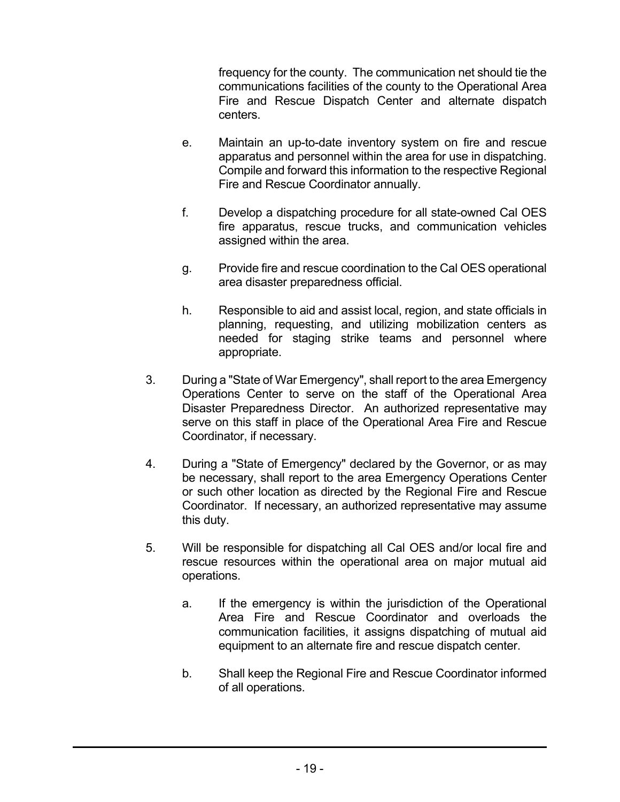frequency for the county. The communication net should tie the communications facilities of the county to the Operational Area Fire and Rescue Dispatch Center and alternate dispatch centers.

- e. Maintain an up-to-date inventory system on fire and rescue apparatus and personnel within the area for use in dispatching. Compile and forward this information to the respective Regional Fire and Rescue Coordinator annually.
- f. Develop a dispatching procedure for all state-owned Cal OES fire apparatus, rescue trucks, and communication vehicles assigned within the area.
- g. Provide fire and rescue coordination to the Cal OES operational area disaster preparedness official.
- h. Responsible to aid and assist local, region, and state officials in planning, requesting, and utilizing mobilization centers as needed for staging strike teams and personnel where appropriate.
- During a "State of War Emergency", shall report to the area Emergency Operations Center to serve on the staff of the Operational Area Disaster Preparedness Director. An authorized representative may serve on this staff in place of the Operational Area Fire and Rescue Coordinator, if necessary. 3.
- During a "State of Emergency" declared by the Governor, or as may be necessary, shall report to the area Emergency Operations Center or such other location as directed by the Regional Fire and Rescue Coordinator. If necessary, an authorized representative may assume this duty. 4.
- Will be responsible for dispatching all Cal OES and/or local fire and rescue resources within the operational area on major mutual aid operations. 5.
	- a. If the emergency is within the jurisdiction of the Operational Area Fire and Rescue Coordinator and overloads the communication facilities, it assigns dispatching of mutual aid equipment to an alternate fire and rescue dispatch center.
	- b. Shall keep the Regional Fire and Rescue Coordinator informed of all operations.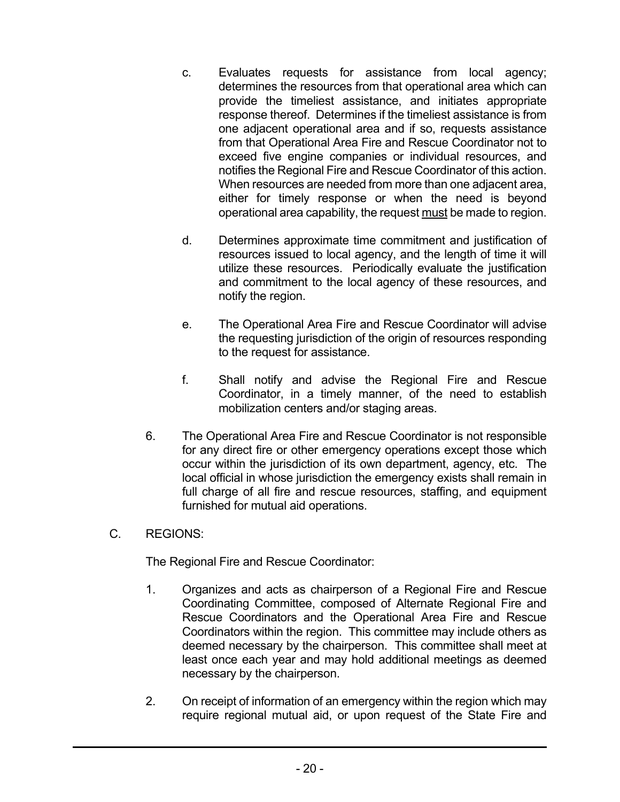- c. Evaluates requests for assistance from local agency; determines the resources from that operational area which can provide the timeliest assistance, and initiates appropriate response thereof. Determines if the timeliest assistance is from one adjacent operational area and if so, requests assistance from that Operational Area Fire and Rescue Coordinator not to exceed five engine companies or individual resources, and notifies the Regional Fire and Rescue Coordinator of this action. When resources are needed from more than one adjacent area, either for timely response or when the need is beyond operational area capability, the request must be made to region.
- d. Determines approximate time commitment and justification of resources issued to local agency, and the length of time it will utilize these resources. Periodically evaluate the justification and commitment to the local agency of these resources, and notify the region.
- e. The Operational Area Fire and Rescue Coordinator will advise the requesting jurisdiction of the origin of resources responding to the request for assistance.
- f. Shall notify and advise the Regional Fire and Rescue Coordinator, in a timely manner, of the need to establish mobilization centers and/or staging areas.
- 6. The Operational Area Fire and Rescue Coordinator is not responsible for any direct fire or other emergency operations except those which occur within the jurisdiction of its own department, agency, etc. The local official in whose jurisdiction the emergency exists shall remain in full charge of all fire and rescue resources, staffing, and equipment furnished for mutual aid operations.
- REGIONS: C.

The Regional Fire and Rescue Coordinator:

- 1. Organizes and acts as chairperson of a Regional Fire and Rescue Coordinating Committee, composed of Alternate Regional Fire and Rescue Coordinators and the Operational Area Fire and Rescue Coordinators within the region. This committee may include others as deemed necessary by the chairperson. This committee shall meet at least once each year and may hold additional meetings as deemed necessary by the chairperson.
- 2. On receipt of information of an emergency within the region which may require regional mutual aid, or upon request of the State Fire and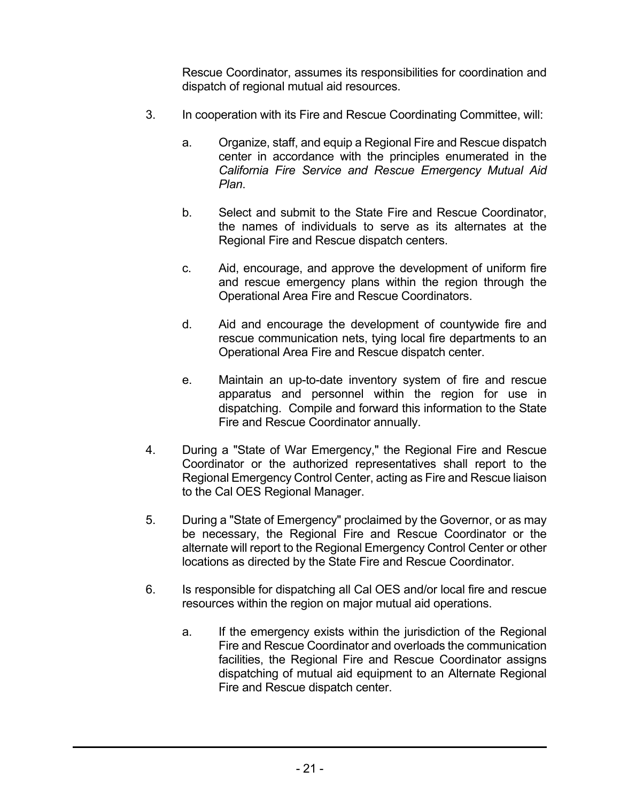Rescue Coordinator, assumes its responsibilities for coordination and dispatch of regional mutual aid resources.

- In cooperation with its Fire and Rescue Coordinating Committee, will: 3.
	- a. Organize, staff, and equip a Regional Fire and Rescue dispatch center in accordance with the principles enumerated in the *California Fire Service and Rescue Emergency Mutual Aid Plan*.
	- b. Select and submit to the State Fire and Rescue Coordinator, the names of individuals to serve as its alternates at the Regional Fire and Rescue dispatch centers.
	- c. Aid, encourage, and approve the development of uniform fire and rescue emergency plans within the region through the Operational Area Fire and Rescue Coordinators.
	- d. Aid and encourage the development of countywide fire and rescue communication nets, tying local fire departments to an Operational Area Fire and Rescue dispatch center.
	- e. Maintain an up-to-date inventory system of fire and rescue apparatus and personnel within the region for use in dispatching. Compile and forward this information to the State Fire and Rescue Coordinator annually.
- During a "State of War Emergency," the Regional Fire and Rescue Coordinator or the authorized representatives shall report to the Regional Emergency Control Center, acting as Fire and Rescue liaison to the Cal OES Regional Manager. 4.
- During a "State of Emergency" proclaimed by the Governor, or as may be necessary, the Regional Fire and Rescue Coordinator or the alternate will report to the Regional Emergency Control Center or other locations as directed by the State Fire and Rescue Coordinator. 5.
- Is responsible for dispatching all Cal OES and/or local fire and rescue resources within the region on major mutual aid operations. 6.
	- a. If the emergency exists within the jurisdiction of the Regional Fire and Rescue Coordinator and overloads the communication facilities, the Regional Fire and Rescue Coordinator assigns dispatching of mutual aid equipment to an Alternate Regional Fire and Rescue dispatch center.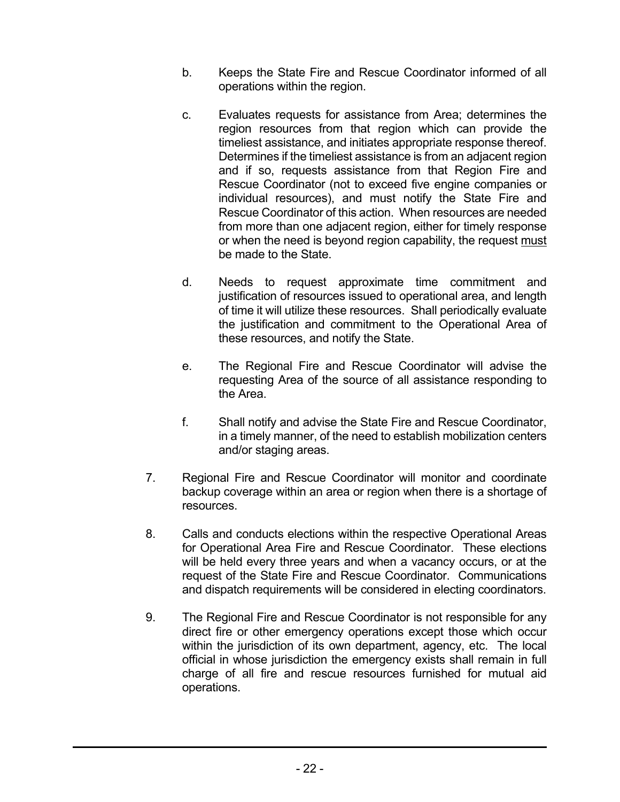- b. Keeps the State Fire and Rescue Coordinator informed of all operations within the region.
- c. Evaluates requests for assistance from Area; determines the region resources from that region which can provide the timeliest assistance, and initiates appropriate response thereof. Determines if the timeliest assistance is from an adjacent region and if so, requests assistance from that Region Fire and Rescue Coordinator (not to exceed five engine companies or individual resources), and must notify the State Fire and Rescue Coordinator of this action. When resources are needed from more than one adjacent region, either for timely response or when the need is beyond region capability, the request must be made to the State.
- d. Needs to request approximate time commitment and justification of resources issued to operational area, and length of time it will utilize these resources. Shall periodically evaluate the justification and commitment to the Operational Area of these resources, and notify the State.
- e. The Regional Fire and Rescue Coordinator will advise the requesting Area of the source of all assistance responding to the Area.
- f. Shall notify and advise the State Fire and Rescue Coordinator, in a timely manner, of the need to establish mobilization centers and/or staging areas.
- Regional Fire and Rescue Coordinator will monitor and coordinate backup coverage within an area or region when there is a shortage of resources. 7.
- Calls and conducts elections within the respective Operational Areas for Operational Area Fire and Rescue Coordinator. These elections will be held every three years and when a vacancy occurs, or at the request of the State Fire and Rescue Coordinator. Communications and dispatch requirements will be considered in electing coordinators. 8.
- The Regional Fire and Rescue Coordinator is not responsible for any direct fire or other emergency operations except those which occur within the jurisdiction of its own department, agency, etc. The local official in whose jurisdiction the emergency exists shall remain in full charge of all fire and rescue resources furnished for mutual aid operations. 9.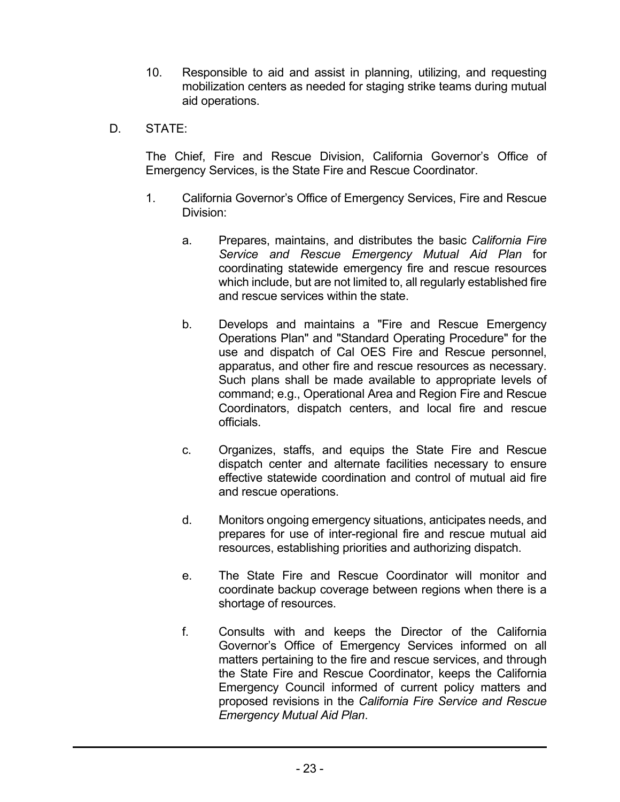- 10. Responsible to aid and assist in planning, utilizing, and requesting mobilization centers as needed for staging strike teams during mutual aid operations.
- D. STATE:

The Chief, Fire and Rescue Division, California Governor's Office of Emergency Services, is the State Fire and Rescue Coordinator.

- 1. California Governor's Office of Emergency Services, Fire and Rescue Division:
	- a. Prepares, maintains, and distributes the basic *California Fire Service and Rescue Emergency Mutual Aid Plan* for coordinating statewide emergency fire and rescue resources which include, but are not limited to, all regularly established fire and rescue services within the state.
	- b. Develops and maintains a "Fire and Rescue Emergency Operations Plan" and "Standard Operating Procedure" for the use and dispatch of Cal OES Fire and Rescue personnel, apparatus, and other fire and rescue resources as necessary. Such plans shall be made available to appropriate levels of command; e.g., Operational Area and Region Fire and Rescue Coordinators, dispatch centers, and local fire and rescue officials.
	- c. Organizes, staffs, and equips the State Fire and Rescue dispatch center and alternate facilities necessary to ensure effective statewide coordination and control of mutual aid fire and rescue operations.
	- d. Monitors ongoing emergency situations, anticipates needs, and prepares for use of inter-regional fire and rescue mutual aid resources, establishing priorities and authorizing dispatch.
	- e. The State Fire and Rescue Coordinator will monitor and coordinate backup coverage between regions when there is a shortage of resources.
	- f. Consults with and keeps the Director of the California Governor's Office of Emergency Services informed on all matters pertaining to the fire and rescue services, and through the State Fire and Rescue Coordinator, keeps the California Emergency Council informed of current policy matters and proposed revisions in the *California Fire Service and Rescue Emergency Mutual Aid Plan*.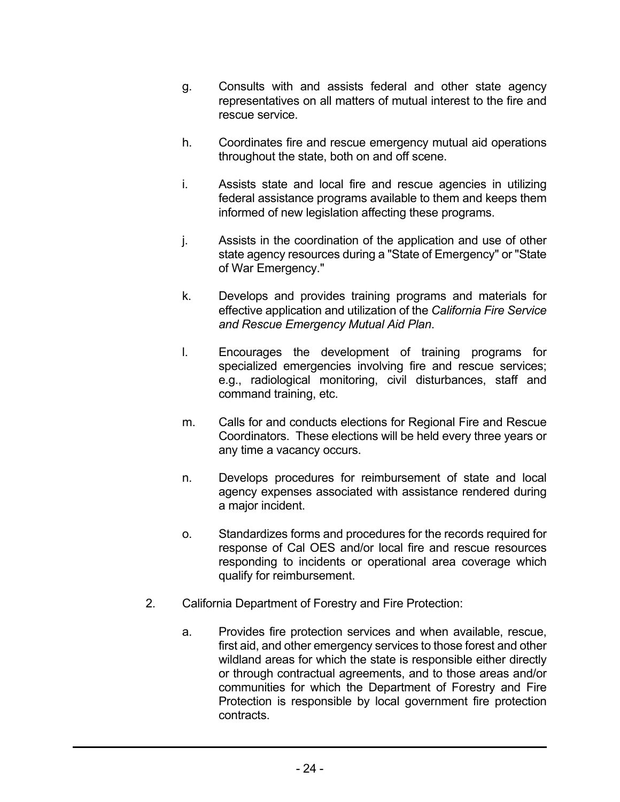- g. Consults with and assists federal and other state agency representatives on all matters of mutual interest to the fire and rescue service.
- h. Coordinates fire and rescue emergency mutual aid operations throughout the state, both on and off scene.
- i. Assists state and local fire and rescue agencies in utilizing federal assistance programs available to them and keeps them informed of new legislation affecting these programs.
- j. Assists in the coordination of the application and use of other state agency resources during a "State of Emergency" or "State of War Emergency."
- k. Develops and provides training programs and materials for effective application and utilization of the *California Fire Service and Rescue Emergency Mutual Aid Plan*.
- l. Encourages the development of training programs for specialized emergencies involving fire and rescue services; e.g., radiological monitoring, civil disturbances, staff and command training, etc.
- m. Calls for and conducts elections for Regional Fire and Rescue Coordinators. These elections will be held every three years or any time a vacancy occurs.
- n. Develops procedures for reimbursement of state and local agency expenses associated with assistance rendered during a major incident.
- o. Standardizes forms and procedures for the records required for response of Cal OES and/or local fire and rescue resources responding to incidents or operational area coverage which qualify for reimbursement.
- California Department of Forestry and Fire Protection: 2.
	- a. Provides fire protection services and when available, rescue, first aid, and other emergency services to those forest and other wildland areas for which the state is responsible either directly or through contractual agreements, and to those areas and/or communities for which the Department of Forestry and Fire Protection is responsible by local government fire protection contracts.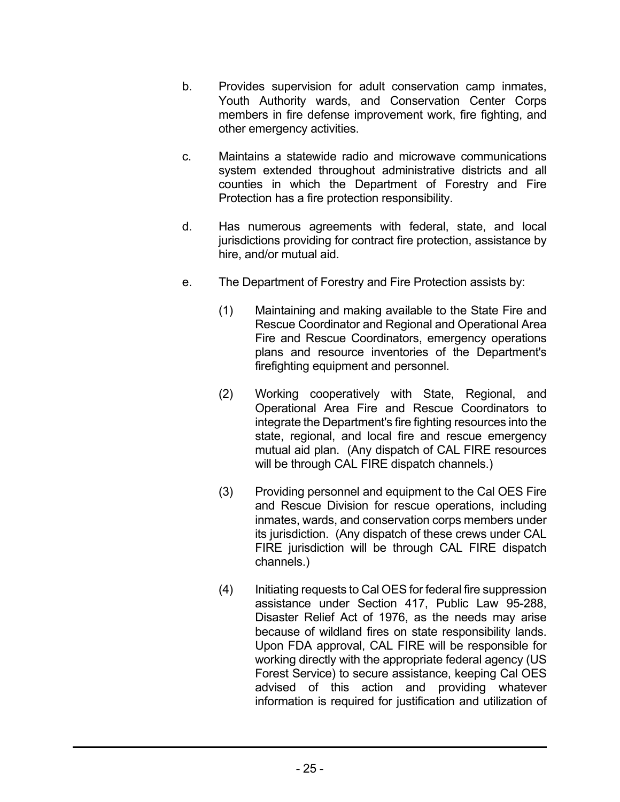- b. Provides supervision for adult conservation camp inmates, Youth Authority wards, and Conservation Center Corps members in fire defense improvement work, fire fighting, and other emergency activities.
- c. Maintains a statewide radio and microwave communications system extended throughout administrative districts and all counties in which the Department of Forestry and Fire Protection has a fire protection responsibility.
- d. Has numerous agreements with federal, state, and local jurisdictions providing for contract fire protection, assistance by hire, and/or mutual aid.
- e. The Department of Forestry and Fire Protection assists by:
	- (1) Maintaining and making available to the State Fire and Rescue Coordinator and Regional and Operational Area Fire and Rescue Coordinators, emergency operations plans and resource inventories of the Department's firefighting equipment and personnel.
	- (2) Working cooperatively with State, Regional, and Operational Area Fire and Rescue Coordinators to integrate the Department's fire fighting resources into the state, regional, and local fire and rescue emergency mutual aid plan. (Any dispatch of CAL FIRE resources will be through CAL FIRE dispatch channels.)
	- (3) Providing personnel and equipment to the Cal OES Fire and Rescue Division for rescue operations, including inmates, wards, and conservation corps members under its jurisdiction. (Any dispatch of these crews under CAL FIRE jurisdiction will be through CAL FIRE dispatch channels.)
	- (4) Initiating requests to Cal OES for federal fire suppression assistance under Section 417, Public Law 95-288, Disaster Relief Act of 1976, as the needs may arise because of wildland fires on state responsibility lands. Upon FDA approval, CAL FIRE will be responsible for working directly with the appropriate federal agency (US Forest Service) to secure assistance, keeping Cal OES advised of this action and providing whatever information is required for justification and utilization of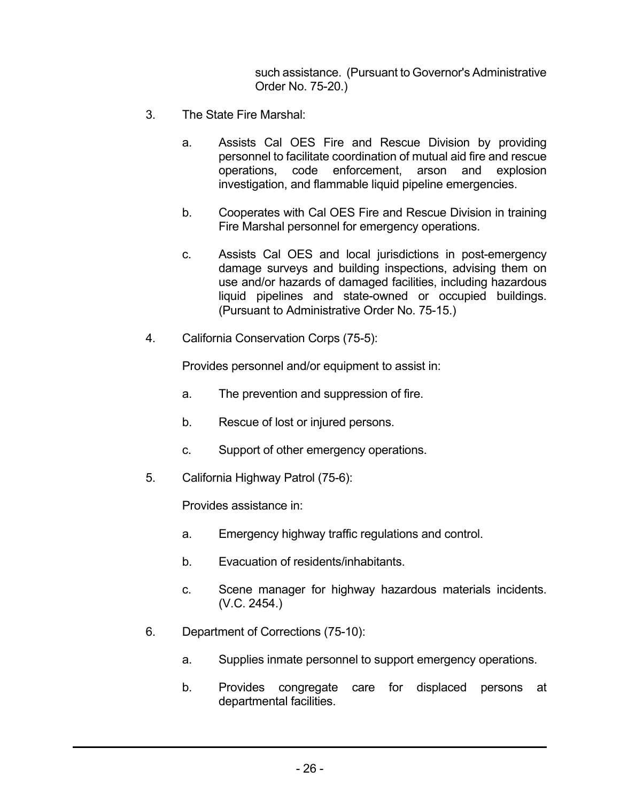such assistance. (Pursuant to Governor's Administrative Order No. 75-20.)

- The State Fire Marshal: 3.
	- a. Assists Cal OES Fire and Rescue Division by providing personnel to facilitate coordination of mutual aid fire and rescue operations, code enforcement, arson and explosion investigation, and flammable liquid pipeline emergencies.
	- b. Cooperates with Cal OES Fire and Rescue Division in training Fire Marshal personnel for emergency operations.
	- c. Assists Cal OES and local jurisdictions in post-emergency damage surveys and building inspections, advising them on use and/or hazards of damaged facilities, including hazardous liquid pipelines and state-owned or occupied buildings. (Pursuant to Administrative Order No. 75-15.)
- California Conservation Corps (75-5): 4.

Provides personnel and/or equipment to assist in:

- a. The prevention and suppression of fire.
- b. Rescue of lost or injured persons.
- c. Support of other emergency operations.
- California Highway Patrol (75-6): 5.

Provides assistance in:

- a. Emergency highway traffic regulations and control.
- b. Evacuation of residents/inhabitants.
- c. Scene manager for highway hazardous materials incidents. (V.C. 2454.)
- Department of Corrections (75-10): 6.
	- a. Supplies inmate personnel to support emergency operations.
	- b. Provides congregate care for displaced persons at departmental facilities.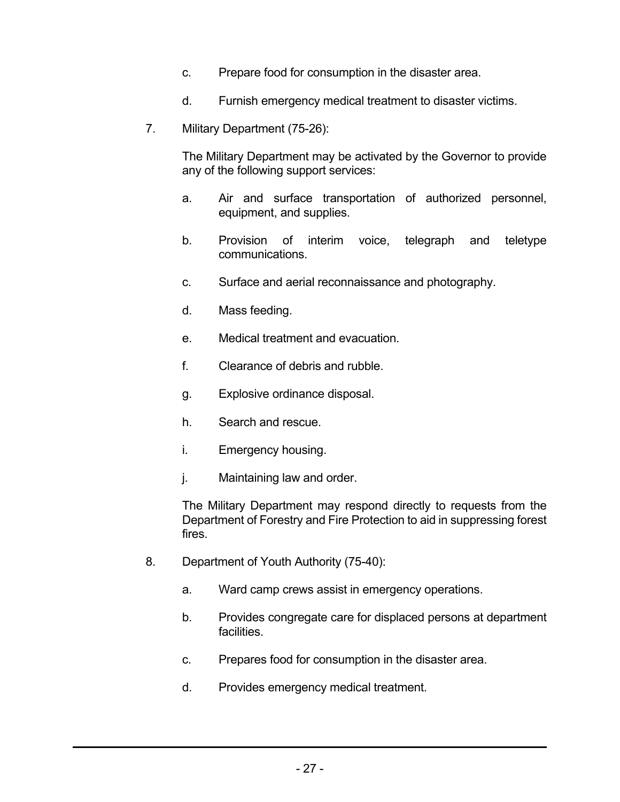- c. Prepare food for consumption in the disaster area.
- d. Furnish emergency medical treatment to disaster victims.
- 7. Military Department (75-26):

The Military Department may be activated by the Governor to provide any of the following support services:

- a. Air and surface transportation of authorized personnel, equipment, and supplies.
- b. Provision of interim voice, telegraph and teletype communications.
- c. Surface and aerial reconnaissance and photography.
- d. Mass feeding.
- e. Medical treatment and evacuation.
- f. Clearance of debris and rubble.
- g. Explosive ordinance disposal.
- h. Search and rescue.
- i. Emergency housing.
- j. Maintaining law and order.

The Military Department may respond directly to requests from the Department of Forestry and Fire Protection to aid in suppressing forest fires.

- 8. Department of Youth Authority (75-40):
	- a. Ward camp crews assist in emergency operations.
	- b. Provides congregate care for displaced persons at department facilities.
	- c. Prepares food for consumption in the disaster area.
	- d. Provides emergency medical treatment.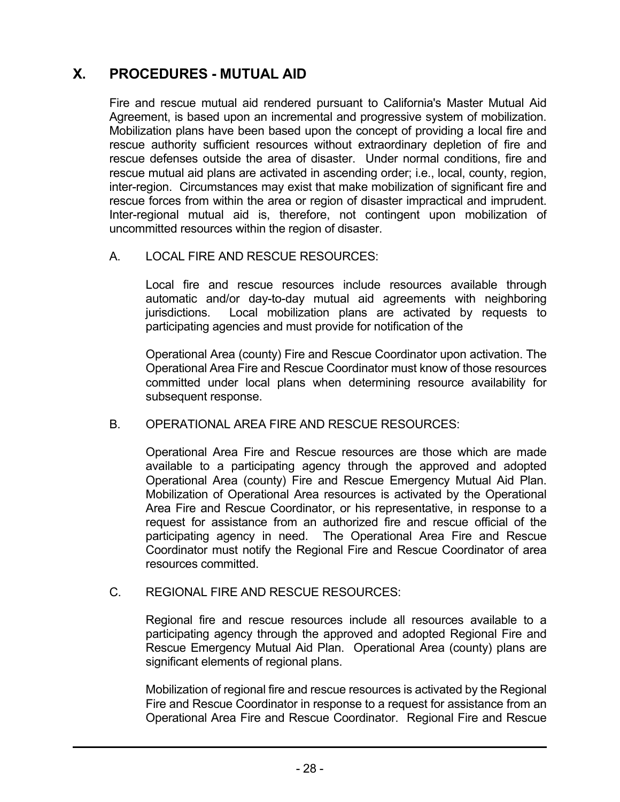### **X. PROCEDURES - MUTUAL AID**

Fire and rescue mutual aid rendered pursuant to California's Master Mutual Aid Agreement, is based upon an incremental and progressive system of mobilization. Mobilization plans have been based upon the concept of providing a local fire and rescue authority sufficient resources without extraordinary depletion of fire and rescue defenses outside the area of disaster. Under normal conditions, fire and rescue mutual aid plans are activated in ascending order; i.e., local, county, region, inter-region. Circumstances may exist that make mobilization of significant fire and rescue forces from within the area or region of disaster impractical and imprudent. Inter-regional mutual aid is, therefore, not contingent upon mobilization of uncommitted resources within the region of disaster.

### A. LOCAL FIRE AND RESCUE RESOURCES:

Local fire and rescue resources include resources available through automatic and/or day-to-day mutual aid agreements with neighboring jurisdictions. Local mobilization plans are activated by requests to participating agencies and must provide for notification of the

Operational Area (county) Fire and Rescue Coordinator upon activation. The Operational Area Fire and Rescue Coordinator must know of those resources committed under local plans when determining resource availability for subsequent response.

### B. OPERATIONAL AREA FIRE AND RESCUE RESOURCES:

Operational Area Fire and Rescue resources are those which are made available to a participating agency through the approved and adopted Operational Area (county) Fire and Rescue Emergency Mutual Aid Plan. Mobilization of Operational Area resources is activated by the Operational Area Fire and Rescue Coordinator, or his representative, in response to a request for assistance from an authorized fire and rescue official of the participating agency in need. The Operational Area Fire and Rescue Coordinator must notify the Regional Fire and Rescue Coordinator of area resources committed.

### C. REGIONAL FIRE AND RESCUE RESOURCES:

Regional fire and rescue resources include all resources available to a participating agency through the approved and adopted Regional Fire and Rescue Emergency Mutual Aid Plan. Operational Area (county) plans are significant elements of regional plans.

Mobilization of regional fire and rescue resources is activated by the Regional Fire and Rescue Coordinator in response to a request for assistance from an Operational Area Fire and Rescue Coordinator. Regional Fire and Rescue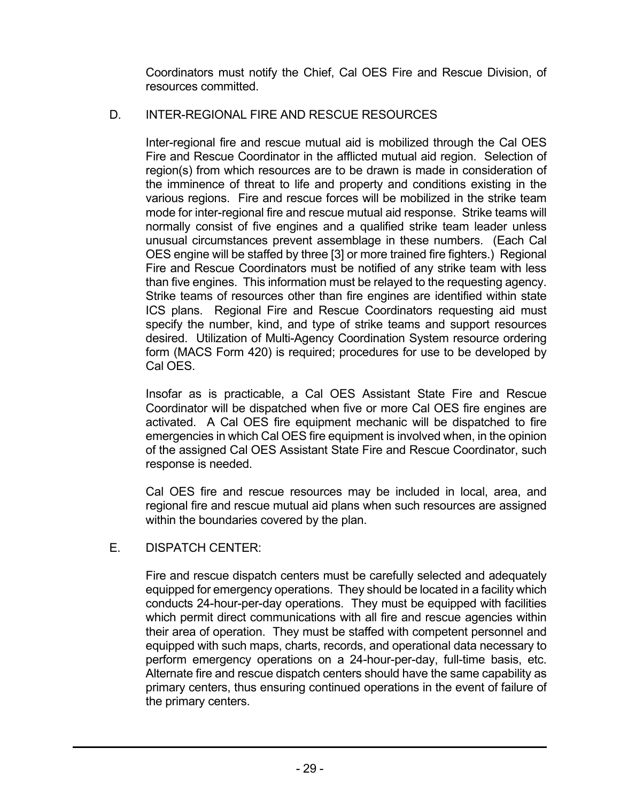Coordinators must notify the Chief, Cal OES Fire and Rescue Division, of resources committed.

#### D. INTER-REGIONAL FIRE AND RESCUE RESOURCES

Inter-regional fire and rescue mutual aid is mobilized through the Cal OES Fire and Rescue Coordinator in the afflicted mutual aid region. Selection of region(s) from which resources are to be drawn is made in consideration of the imminence of threat to life and property and conditions existing in the various regions. Fire and rescue forces will be mobilized in the strike team mode for inter-regional fire and rescue mutual aid response. Strike teams will normally consist of five engines and a qualified strike team leader unless unusual circumstances prevent assemblage in these numbers. (Each Cal OES engine will be staffed by three [3] or more trained fire fighters.) Regional Fire and Rescue Coordinators must be notified of any strike team with less than five engines. This information must be relayed to the requesting agency. Strike teams of resources other than fire engines are identified within state ICS plans. Regional Fire and Rescue Coordinators requesting aid must specify the number, kind, and type of strike teams and support resources desired. Utilization of Multi-Agency Coordination System resource ordering form (MACS Form 420) is required; procedures for use to be developed by Cal OES.

Insofar as is practicable, a Cal OES Assistant State Fire and Rescue Coordinator will be dispatched when five or more Cal OES fire engines are activated. A Cal OES fire equipment mechanic will be dispatched to fire emergencies in which Cal OES fire equipment is involved when, in the opinion of the assigned Cal OES Assistant State Fire and Rescue Coordinator, such response is needed.

Cal OES fire and rescue resources may be included in local, area, and regional fire and rescue mutual aid plans when such resources are assigned within the boundaries covered by the plan.

E. DISPATCH CENTER:

> Fire and rescue dispatch centers must be carefully selected and adequately equipped for emergency operations. They should be located in a facility which conducts 24-hour-per-day operations. They must be equipped with facilities which permit direct communications with all fire and rescue agencies within their area of operation. They must be staffed with competent personnel and equipped with such maps, charts, records, and operational data necessary to perform emergency operations on a 24-hour-per-day, full-time basis, etc. Alternate fire and rescue dispatch centers should have the same capability as primary centers, thus ensuring continued operations in the event of failure of the primary centers.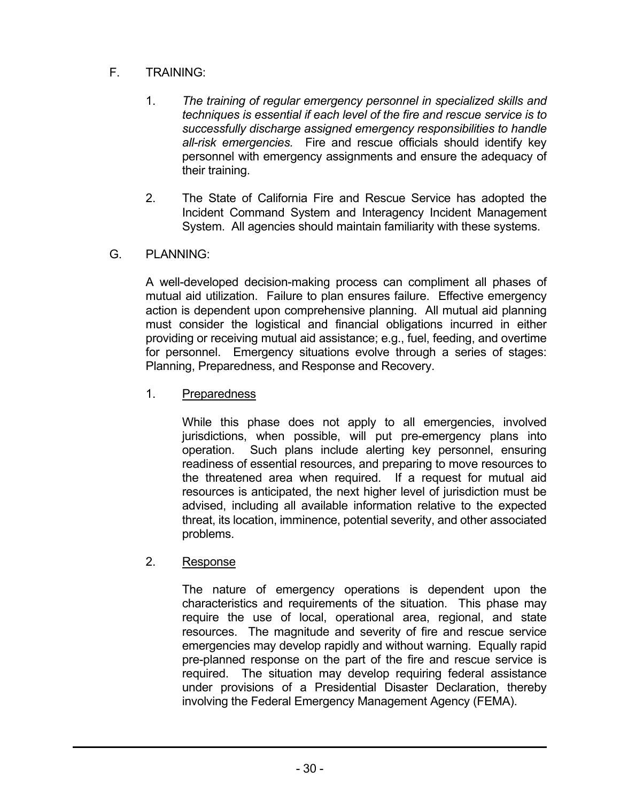#### F. TRAINING:

- 1. *The training of regular emergency personnel in specialized skills and techniques is essential if each level of the fire and rescue service is to successfully discharge assigned emergency responsibilities to handle all-risk emergencies.* Fire and rescue officials should identify key personnel with emergency assignments and ensure the adequacy of their training.
- 2. The State of California Fire and Rescue Service has adopted the Incident Command System and Interagency Incident Management System. All agencies should maintain familiarity with these systems.

#### G. PLANNING:

A well-developed decision-making process can compliment all phases of mutual aid utilization. Failure to plan ensures failure. Effective emergency action is dependent upon comprehensive planning. All mutual aid planning must consider the logistical and financial obligations incurred in either providing or receiving mutual aid assistance; e.g., fuel, feeding, and overtime for personnel. Emergency situations evolve through a series of stages: Planning, Preparedness, and Response and Recovery.

1. Preparedness

While this phase does not apply to all emergencies, involved jurisdictions, when possible, will put pre-emergency plans into operation. Such plans include alerting key personnel, ensuring readiness of essential resources, and preparing to move resources to the threatened area when required. If a request for mutual aid resources is anticipated, the next higher level of jurisdiction must be advised, including all available information relative to the expected threat, its location, imminence, potential severity, and other associated problems.

### 2. Response

The nature of emergency operations is dependent upon the characteristics and requirements of the situation. This phase may require the use of local, operational area, regional, and state resources. The magnitude and severity of fire and rescue service emergencies may develop rapidly and without warning. Equally rapid pre-planned response on the part of the fire and rescue service is required. The situation may develop requiring federal assistance under provisions of a Presidential Disaster Declaration, thereby involving the Federal Emergency Management Agency (FEMA).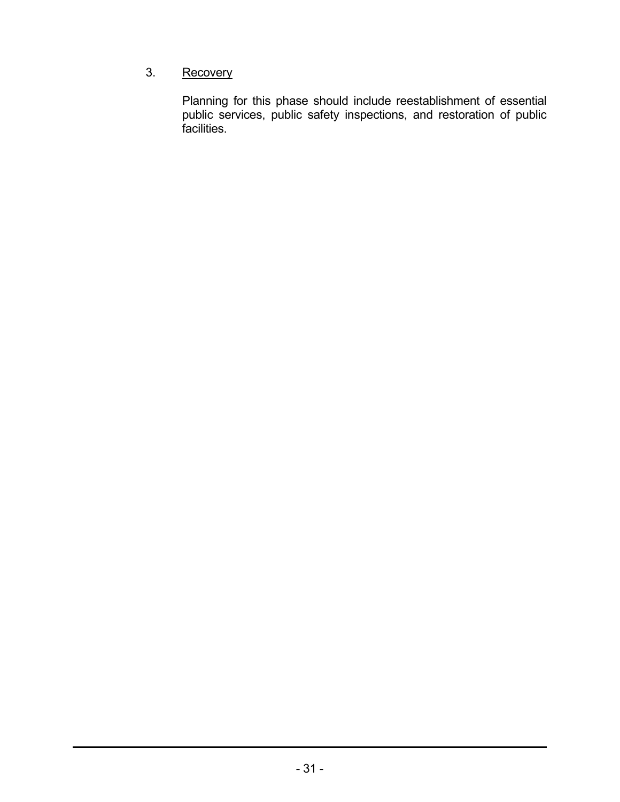### 3. Recovery

Planning for this phase should include reestablishment of essential public services, public safety inspections, and restoration of public facilities.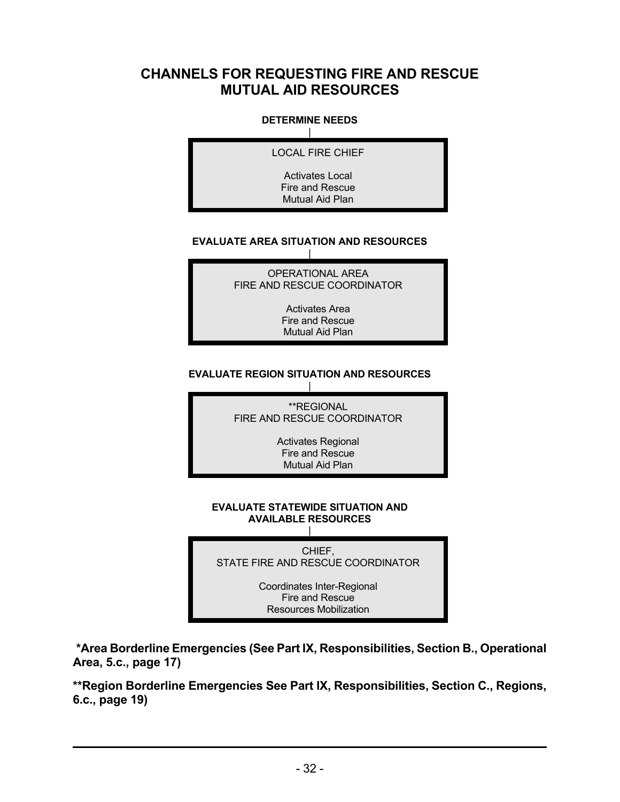### **CHANNELS FOR REQUESTING FIRE AND RESCUE MUTUAL AID RESOURCES**

### **DETERMINE NEEDS** |

LOCAL FIRE CHIEF

Activates Local Fire and Rescue Mutual Aid Plan

### **EVALUATE AREA SITUATION AND RESOURCES** |

OPERATIONAL AREA FIRE AND RESCUE COORDINATOR

> Activates Area Fire and Rescue Mutual Aid Plan

### **EVALUATE REGION SITUATION AND RESOURCES**



**EVALUATE STATEWIDE SITUATION AND AVAILABLE RESOURCES** |

CHIEF, STATE FIRE AND RESCUE COORDINATOR

> Coordinates Inter-Regional Fire and Rescue Resources Mobilization

**\*Area Borderline Emergencies (See Part IX, Responsibilities, Section B., Operational Area, 5.c., page 17)**

**\*\*Region Borderline Emergencies See Part IX, Responsibilities, Section C., Regions, 6.c., page 19)**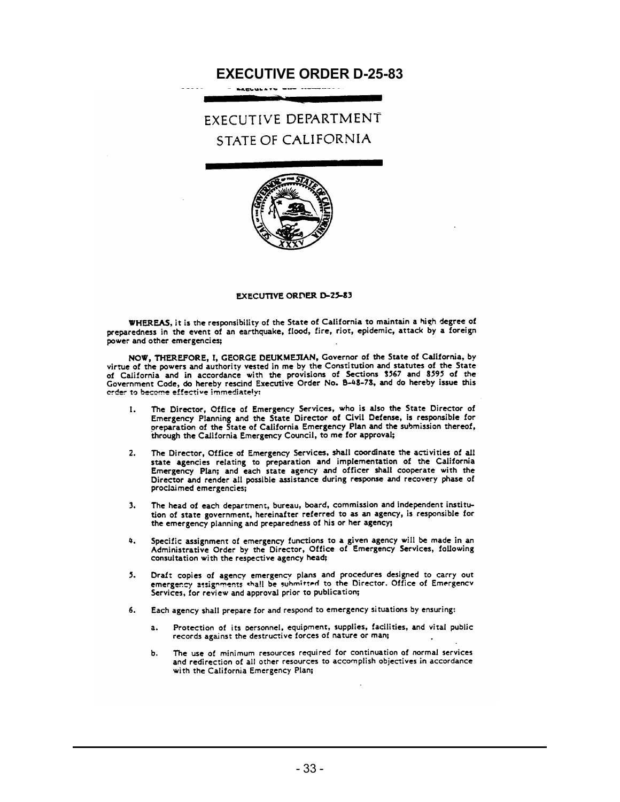### **EXECUTIVE ORDER D-25-83**

**FXECUTIVE DEPARTMENT** STATE OF CALIFORNIA



### **EXECUTIVE ORDER D-25-83**

WHEREAS, it is the responsibility of the State of California to maintain a high degree of preparedness in the event of an earthquake, flood, fire, riot, epidemic, attack by a foreign power and other emergencies;

NOW, THEREFORE, I, GEORGE DEUKMEJIAN, Governor of the State of California, by virtue of the powers and authority vested in me by the Constitution and statutes of the State of California and in accordance with the provisions of Sections 3567 and 8595 of the<br>of California and in accordance with the provisions of Sections 3567 and 8595 of the<br>Government Code, do hereby rescind Executive Order N erder to become effective immediately:

- The Director, Office of Emergency Services, who is also the State Director of 1. Emergency Planning and the State Director of Civil Defense, is responsible for preparation of the State of California Emergency Plan and the submission thereof, through the California Emergency Council, to me for approval;
- The Director, Office of Emergency Services, shall coordinate the activities of all  $2.$ state agencies relating to preparation and implementation of the California<br>Emergency Plan; and each state agency and officer shall cooperate with the Director and render all possible assistance during response and recovery phase of proclaimed emergencies;
- The head of each department, bureau, board, commission and independent institu- $3<sub>x</sub>$ tion of state government, hereinafter referred to as an agency, is responsible for the emergency planning and preparedness of his or her agency;
- Specific assignment of emergency functions to a given agency will be made in an<br>Administrative Order by the Director, Office of Emergency Services, following  $\Delta$ . consultation with the respective agency head;
- Draft copies of agency emergency plans and procedures designed to carry out<br>emergency assignments shall be submitted to the Director. Office of Emergency<br>emergency assignments degraded as a publication:  $5.$ Services, for review and approval prior to publication;
- Each agency shall prepare for and respond to emergency situations by ensuring: 6.
	- Protection of its personnel, equipment, supplies, facilities, and vital public  $a<sub>z</sub>$ records against the destructive forces of nature or man;
	- The use of minimum resources required for continuation of normal services Ъ. and redirection of all other resources to accomplish objectives in accordance with the California Emergency Plan;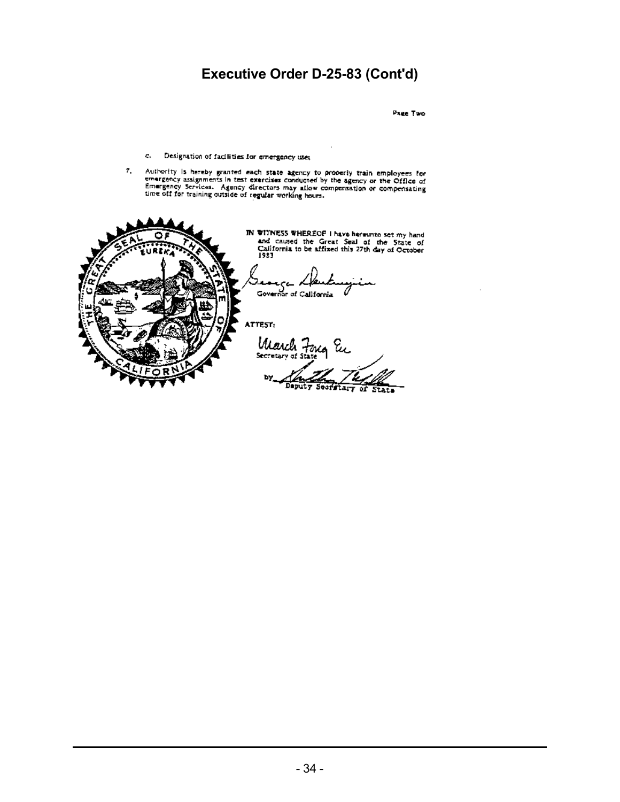### **Executive Order D-25-83 (Cont'd)**

Page Two

- c. Designation of facilities for emergency use;
- Authority is hereby granted each state agency to properly train employees for<br>emergency assignments in test exercises conducted by the agency or the Office of<br>Emergency Services. Agency directors may allow compensation or 7.

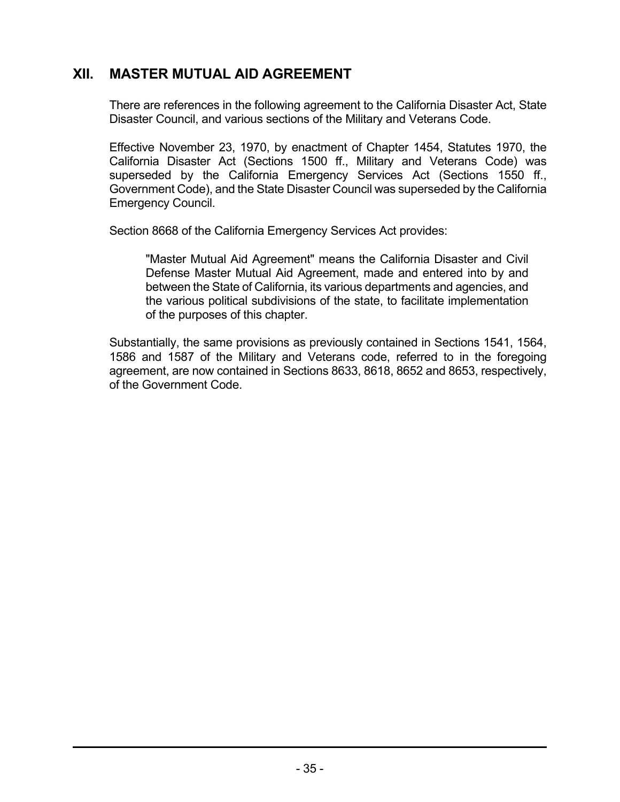### **XII. MASTER MUTUAL AID AGREEMENT**

There are references in the following agreement to the California Disaster Act, State Disaster Council, and various sections of the Military and Veterans Code.

Effective November 23, 1970, by enactment of Chapter 1454, Statutes 1970, the California Disaster Act (Sections 1500 ff., Military and Veterans Code) was superseded by the California Emergency Services Act (Sections 1550 ff., Government Code), and the State Disaster Council was superseded by the California Emergency Council.

Section 8668 of the California Emergency Services Act provides:

"Master Mutual Aid Agreement" means the California Disaster and Civil Defense Master Mutual Aid Agreement, made and entered into by and between the State of California, its various departments and agencies, and the various political subdivisions of the state, to facilitate implementation of the purposes of this chapter.

Substantially, the same provisions as previously contained in Sections 1541, 1564, 1586 and 1587 of the Military and Veterans code, referred to in the foregoing agreement, are now contained in Sections 8633, 8618, 8652 and 8653, respectively, of the Government Code.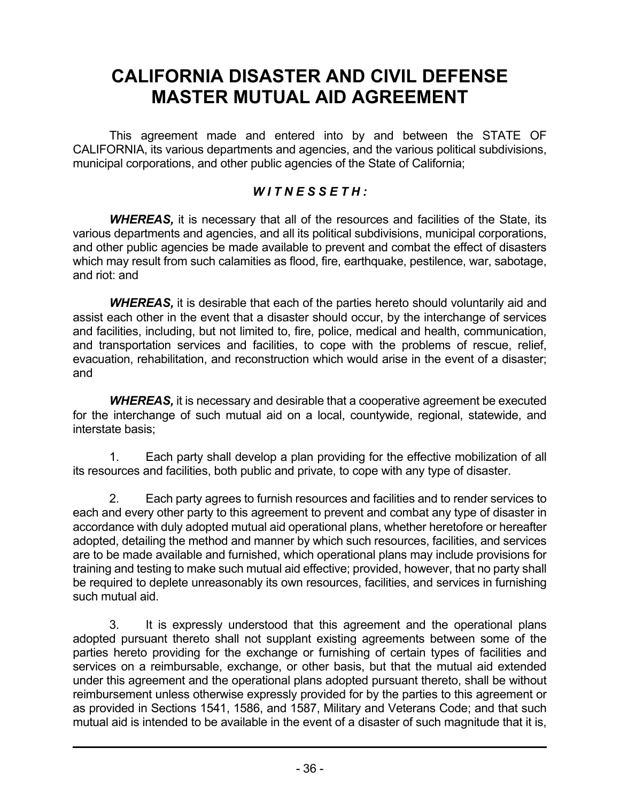### **CALIFORNIA DISASTER AND CIVIL DEFENSE MASTER MUTUAL AID AGREEMENT**

This agreement made and entered into by and between the STATE OF CALIFORNIA, its various departments and agencies, and the various political subdivisions, municipal corporations, and other public agencies of the State of California;

### *W I T N E S S E T H :*

*WHEREAS,* it is necessary that all of the resources and facilities of the State, its various departments and agencies, and all its political subdivisions, municipal corporations, and other public agencies be made available to prevent and combat the effect of disasters which may result from such calamities as flood, fire, earthquake, pestilence, war, sabotage, and riot: and

*WHEREAS,* it is desirable that each of the parties hereto should voluntarily aid and assist each other in the event that a disaster should occur, by the interchange of services and facilities, including, but not limited to, fire, police, medical and health, communication, and transportation services and facilities, to cope with the problems of rescue, relief, evacuation, rehabilitation, and reconstruction which would arise in the event of a disaster; and

*WHEREAS,* it is necessary and desirable that a cooperative agreement be executed for the interchange of such mutual aid on a local, countywide, regional, statewide, and interstate basis;

1. Each party shall develop a plan providing for the effective mobilization of all its resources and facilities, both public and private, to cope with any type of disaster.

2. Each party agrees to furnish resources and facilities and to render services to each and every other party to this agreement to prevent and combat any type of disaster in accordance with duly adopted mutual aid operational plans, whether heretofore or hereafter adopted, detailing the method and manner by which such resources, facilities, and services are to be made available and furnished, which operational plans may include provisions for training and testing to make such mutual aid effective; provided, however, that no party shall be required to deplete unreasonably its own resources, facilities, and services in furnishing such mutual aid.

3. It is expressly understood that this agreement and the operational plans adopted pursuant thereto shall not supplant existing agreements between some of the parties hereto providing for the exchange or furnishing of certain types of facilities and services on a reimbursable, exchange, or other basis, but that the mutual aid extended under this agreement and the operational plans adopted pursuant thereto, shall be without reimbursement unless otherwise expressly provided for by the parties to this agreement or as provided in Sections 1541, 1586, and 1587, Military and Veterans Code; and that such mutual aid is intended to be available in the event of a disaster of such magnitude that it is,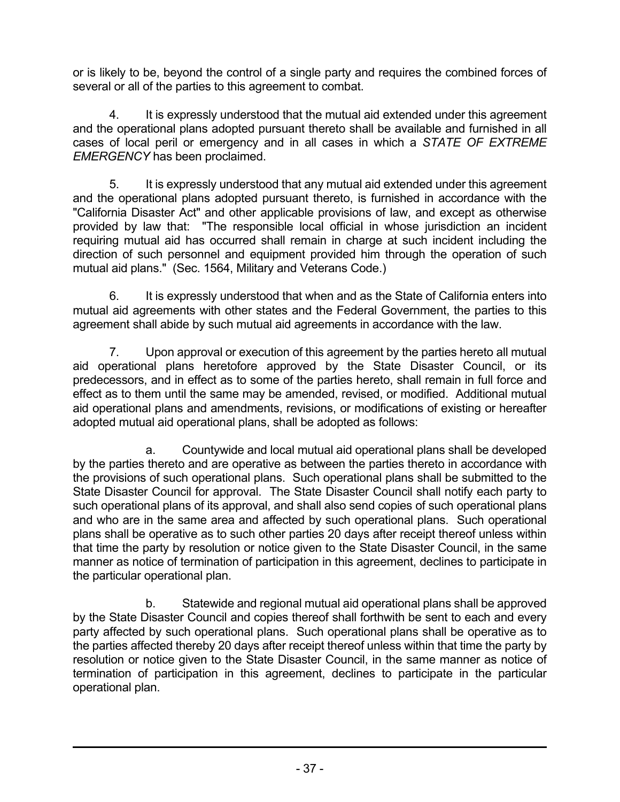or is likely to be, beyond the control of a single party and requires the combined forces of several or all of the parties to this agreement to combat.

4. It is expressly understood that the mutual aid extended under this agreement and the operational plans adopted pursuant thereto shall be available and furnished in all cases of local peril or emergency and in all cases in which a *STATE OF EXTREME EMERGENCY* has been proclaimed.

5. It is expressly understood that any mutual aid extended under this agreement and the operational plans adopted pursuant thereto, is furnished in accordance with the "California Disaster Act" and other applicable provisions of law, and except as otherwise provided by law that: "The responsible local official in whose jurisdiction an incident requiring mutual aid has occurred shall remain in charge at such incident including the direction of such personnel and equipment provided him through the operation of such mutual aid plans." (Sec. 1564, Military and Veterans Code.)

6. It is expressly understood that when and as the State of California enters into mutual aid agreements with other states and the Federal Government, the parties to this agreement shall abide by such mutual aid agreements in accordance with the law.

7. Upon approval or execution of this agreement by the parties hereto all mutual aid operational plans heretofore approved by the State Disaster Council, or its predecessors, and in effect as to some of the parties hereto, shall remain in full force and effect as to them until the same may be amended, revised, or modified. Additional mutual aid operational plans and amendments, revisions, or modifications of existing or hereafter adopted mutual aid operational plans, shall be adopted as follows:

a. Countywide and local mutual aid operational plans shall be developed by the parties thereto and are operative as between the parties thereto in accordance with the provisions of such operational plans. Such operational plans shall be submitted to the State Disaster Council for approval. The State Disaster Council shall notify each party to such operational plans of its approval, and shall also send copies of such operational plans and who are in the same area and affected by such operational plans. Such operational plans shall be operative as to such other parties 20 days after receipt thereof unless within that time the party by resolution or notice given to the State Disaster Council, in the same manner as notice of termination of participation in this agreement, declines to participate in the particular operational plan.

b. Statewide and regional mutual aid operational plans shall be approved by the State Disaster Council and copies thereof shall forthwith be sent to each and every party affected by such operational plans. Such operational plans shall be operative as to the parties affected thereby 20 days after receipt thereof unless within that time the party by resolution or notice given to the State Disaster Council, in the same manner as notice of termination of participation in this agreement, declines to participate in the particular operational plan.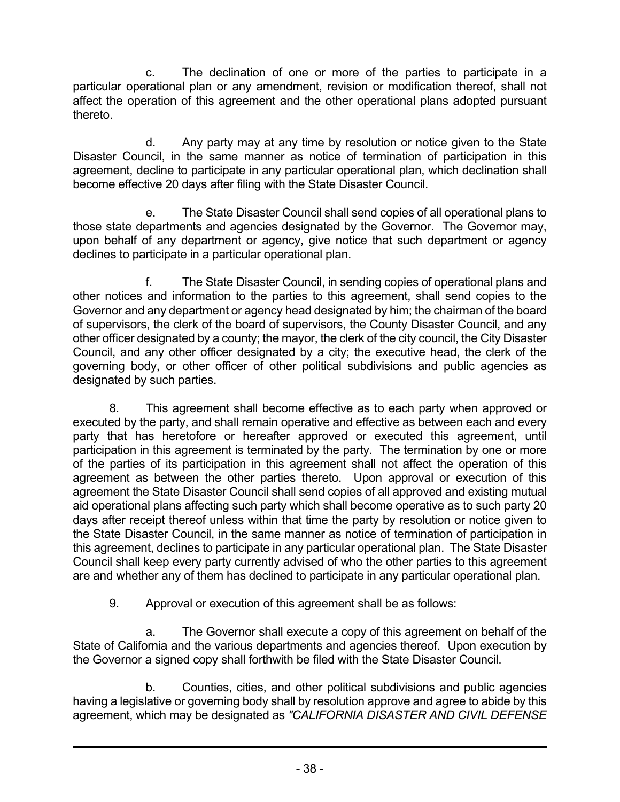c. The declination of one or more of the parties to participate in a particular operational plan or any amendment, revision or modification thereof, shall not affect the operation of this agreement and the other operational plans adopted pursuant thereto.

d. Any party may at any time by resolution or notice given to the State Disaster Council, in the same manner as notice of termination of participation in this agreement, decline to participate in any particular operational plan, which declination shall become effective 20 days after filing with the State Disaster Council.

e. The State Disaster Council shall send copies of all operational plans to those state departments and agencies designated by the Governor. The Governor may, upon behalf of any department or agency, give notice that such department or agency declines to participate in a particular operational plan.

f. The State Disaster Council, in sending copies of operational plans and other notices and information to the parties to this agreement, shall send copies to the Governor and any department or agency head designated by him; the chairman of the board of supervisors, the clerk of the board of supervisors, the County Disaster Council, and any other officer designated by a county; the mayor, the clerk of the city council, the City Disaster Council, and any other officer designated by a city; the executive head, the clerk of the governing body, or other officer of other political subdivisions and public agencies as designated by such parties.

8. This agreement shall become effective as to each party when approved or executed by the party, and shall remain operative and effective as between each and every party that has heretofore or hereafter approved or executed this agreement, until participation in this agreement is terminated by the party. The termination by one or more of the parties of its participation in this agreement shall not affect the operation of this agreement as between the other parties thereto. Upon approval or execution of this agreement the State Disaster Council shall send copies of all approved and existing mutual aid operational plans affecting such party which shall become operative as to such party 20 days after receipt thereof unless within that time the party by resolution or notice given to the State Disaster Council, in the same manner as notice of termination of participation in this agreement, declines to participate in any particular operational plan. The State Disaster Council shall keep every party currently advised of who the other parties to this agreement are and whether any of them has declined to participate in any particular operational plan.

9. Approval or execution of this agreement shall be as follows:

a. The Governor shall execute a copy of this agreement on behalf of the State of California and the various departments and agencies thereof. Upon execution by the Governor a signed copy shall forthwith be filed with the State Disaster Council.

b. Counties, cities, and other political subdivisions and public agencies having a legislative or governing body shall by resolution approve and agree to abide by this agreement, which may be designated as *"CALIFORNIA DISASTER AND CIVIL DEFENSE*